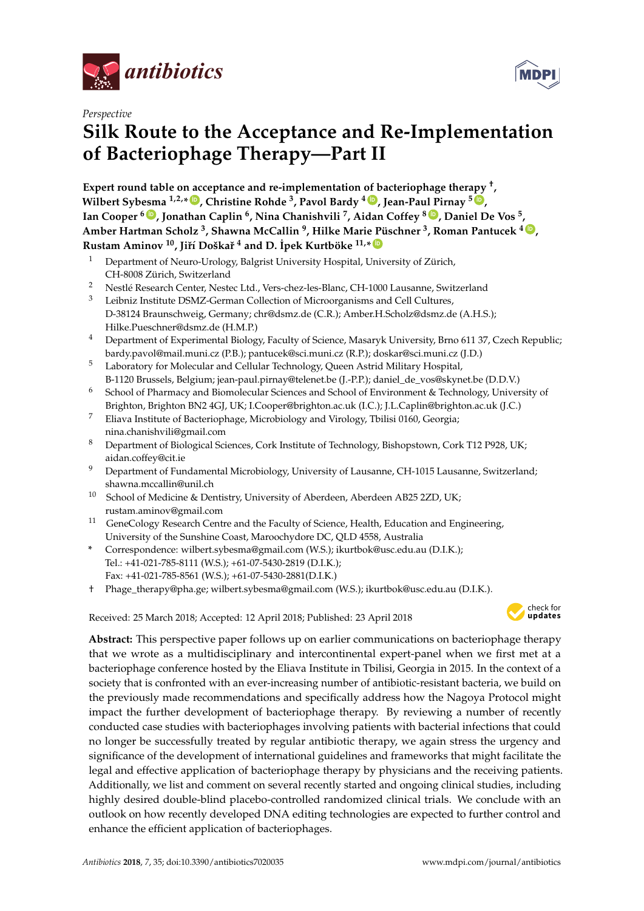

*Perspective*

# **Silk Route to the Acceptance and Re-Implementation of Bacteriophage Therapy—Part II**

**Expert round table on acceptance and re-implementation of bacteriophage therapy † , Wilbert Sybesma 1,2,\* [ID](https://orcid.org/0000-0002-3736-0558) , Christine Rohde <sup>3</sup> , Pavol Bardy <sup>4</sup> [ID](https://orcid.org/0000-0002-1223-2584) , Jean-Paul Pirnay <sup>5</sup> [ID](https://orcid.org/0000-0002-6863-5219) , Ian Cooper <sup>6</sup> [ID](https://orcid.org/0000-0003-1955-5009) , Jonathan Caplin <sup>6</sup> , Nina Chanishvili <sup>7</sup> , Aidan Coffey <sup>8</sup> [ID](https://orcid.org/0000-0003-4116-9913) , Daniel De Vos <sup>5</sup> , Amber Hartman Scholz <sup>3</sup> , Shawna McCallin <sup>9</sup> , Hilke Marie Püschner <sup>3</sup> , Roman Pantucek <sup>4</sup> [ID](https://orcid.org/0000-0002-3950-675X) ,**  $\boldsymbol{\Gamma}$  Rustam Aminov  $^{10}$ , Jiří Doškař  $^{4}$  and D. İpek Kurtböke  $^{11,\ast}$   $^{\text{th}}$ 

- <sup>1</sup> Department of Neuro-Urology, Balgrist University Hospital, University of Zürich, CH-8008 Zürich, Switzerland
- <sup>2</sup> Nestlé Research Center, Nestec Ltd., Vers-chez-les-Blanc, CH-1000 Lausanne, Switzerland
- <sup>3</sup> Leibniz Institute DSMZ-German Collection of Microorganisms and Cell Cultures, D-38124 Braunschweig, Germany; chr@dsmz.de (C.R.); Amber.H.Scholz@dsmz.de (A.H.S.); Hilke.Pueschner@dsmz.de (H.M.P.)
- <sup>4</sup> Department of Experimental Biology, Faculty of Science, Masaryk University, Brno 611 37, Czech Republic; bardy.pavol@mail.muni.cz (P.B.); pantucek@sci.muni.cz (R.P.); doskar@sci.muni.cz (J.D.)
- <sup>5</sup> Laboratory for Molecular and Cellular Technology, Queen Astrid Military Hospital, B-1120 Brussels, Belgium; jean-paul.pirnay@telenet.be (J.-P.P.); daniel\_de\_vos@skynet.be (D.D.V.)
- <sup>6</sup> School of Pharmacy and Biomolecular Sciences and School of Environment & Technology, University of Brighton, Brighton BN2 4GJ, UK; I.Cooper@brighton.ac.uk (I.C.); J.L.Caplin@brighton.ac.uk (J.C.)
- <sup>7</sup> Eliava Institute of Bacteriophage, Microbiology and Virology, Tbilisi 0160, Georgia; nina.chanishvili@gmail.com
- 8 Department of Biological Sciences, Cork Institute of Technology, Bishopstown, Cork T12 P928, UK; aidan.coffey@cit.ie
- <sup>9</sup> Department of Fundamental Microbiology, University of Lausanne, CH-1015 Lausanne, Switzerland; shawna.mccallin@unil.ch
- School of Medicine & Dentistry, University of Aberdeen, Aberdeen AB25 2ZD, UK; rustam.aminov@gmail.com
- <sup>11</sup> GeneCology Research Centre and the Faculty of Science, Health, Education and Engineering, University of the Sunshine Coast, Maroochydore DC, QLD 4558, Australia
- **\*** Correspondence: wilbert.sybesma@gmail.com (W.S.); ikurtbok@usc.edu.au (D.I.K.); Tel.: +41-021-785-8111 (W.S.); +61-07-5430-2819 (D.I.K.); Fax: +41-021-785-8561 (W.S.); +61-07-5430-2881(D.I.K.)
- † Phage\_therapy@pha.ge; wilbert.sybesma@gmail.com (W.S.); ikurtbok@usc.edu.au (D.I.K.).

Received: 25 March 2018; Accepted: 12 April 2018; Published: 23 April 2018 -



**Abstract:** This perspective paper follows up on earlier communications on bacteriophage therapy that we wrote as a multidisciplinary and intercontinental expert-panel when we first met at a bacteriophage conference hosted by the Eliava Institute in Tbilisi, Georgia in 2015. In the context of a society that is confronted with an ever-increasing number of antibiotic-resistant bacteria, we build on the previously made recommendations and specifically address how the Nagoya Protocol might impact the further development of bacteriophage therapy. By reviewing a number of recently conducted case studies with bacteriophages involving patients with bacterial infections that could no longer be successfully treated by regular antibiotic therapy, we again stress the urgency and significance of the development of international guidelines and frameworks that might facilitate the legal and effective application of bacteriophage therapy by physicians and the receiving patients. Additionally, we list and comment on several recently started and ongoing clinical studies, including highly desired double-blind placebo-controlled randomized clinical trials. We conclude with an outlook on how recently developed DNA editing technologies are expected to further control and enhance the efficient application of bacteriophages.

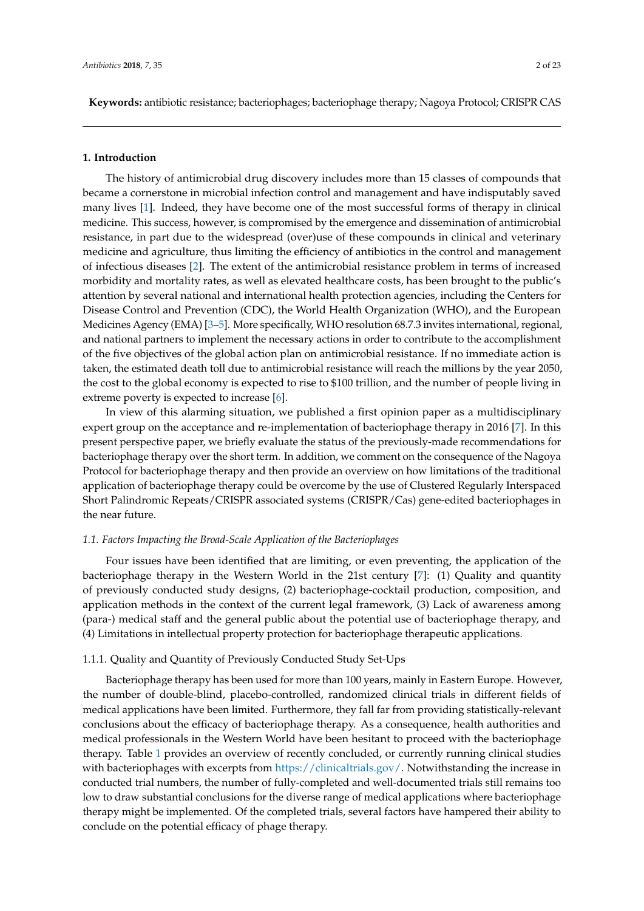#### **1. Introduction**

The history of antimicrobial drug discovery includes more than 15 classes of compounds that became a cornerstone in microbial infection control and management and have indisputably saved many lives [\[1\]](#page-20-0). Indeed, they have become one of the most successful forms of therapy in clinical medicine. This success, however, is compromised by the emergence and dissemination of antimicrobial resistance, in part due to the widespread (over)use of these compounds in clinical and veterinary medicine and agriculture, thus limiting the efficiency of antibiotics in the control and management of infectious diseases [\[2\]](#page-20-1). The extent of the antimicrobial resistance problem in terms of increased morbidity and mortality rates, as well as elevated healthcare costs, has been brought to the public's attention by several national and international health protection agencies, including the Centers for Disease Control and Prevention (CDC), the World Health Organization (WHO), and the European Medicines Agency (EMA) [\[3](#page-20-2)[–5\]](#page-20-3). More specifically, WHO resolution 68.7.3 invites international, regional, and national partners to implement the necessary actions in order to contribute to the accomplishment of the five objectives of the global action plan on antimicrobial resistance. If no immediate action is taken, the estimated death toll due to antimicrobial resistance will reach the millions by the year 2050, the cost to the global economy is expected to rise to \$100 trillion, and the number of people living in extreme poverty is expected to increase [\[6\]](#page-20-4).

In view of this alarming situation, we published a first opinion paper as a multidisciplinary expert group on the acceptance and re-implementation of bacteriophage therapy in 2016 [\[7\]](#page-20-5). In this present perspective paper, we briefly evaluate the status of the previously-made recommendations for bacteriophage therapy over the short term. In addition, we comment on the consequence of the Nagoya Protocol for bacteriophage therapy and then provide an overview on how limitations of the traditional application of bacteriophage therapy could be overcome by the use of Clustered Regularly Interspaced Short Palindromic Repeats/CRISPR associated systems (CRISPR/Cas) gene-edited bacteriophages in the near future.

### *1.1. Factors Impacting the Broad-Scale Application of the Bacteriophages*

Four issues have been identified that are limiting, or even preventing, the application of the bacteriophage therapy in the Western World in the 21st century [\[7\]](#page-20-5): (1) Quality and quantity of previously conducted study designs, (2) bacteriophage-cocktail production, composition, and application methods in the context of the current legal framework, (3) Lack of awareness among (para-) medical staff and the general public about the potential use of bacteriophage therapy, and (4) Limitations in intellectual property protection for bacteriophage therapeutic applications.

## 1.1.1. Quality and Quantity of Previously Conducted Study Set-Ups

Bacteriophage therapy has been used for more than 100 years, mainly in Eastern Europe. However, the number of double-blind, placebo-controlled, randomized clinical trials in different fields of medical applications have been limited. Furthermore, they fall far from providing statistically-relevant conclusions about the efficacy of bacteriophage therapy. As a consequence, health authorities and medical professionals in the Western World have been hesitant to proceed with the bacteriophage therapy. Table [1](#page-8-0) provides an overview of recently concluded, or currently running clinical studies with bacteriophages with excerpts from [https://clinicaltrials.gov/.](https://clinicaltrials.gov/) Notwithstanding the increase in conducted trial numbers, the number of fully-completed and well-documented trials still remains too low to draw substantial conclusions for the diverse range of medical applications where bacteriophage therapy might be implemented. Of the completed trials, several factors have hampered their ability to conclude on the potential efficacy of phage therapy.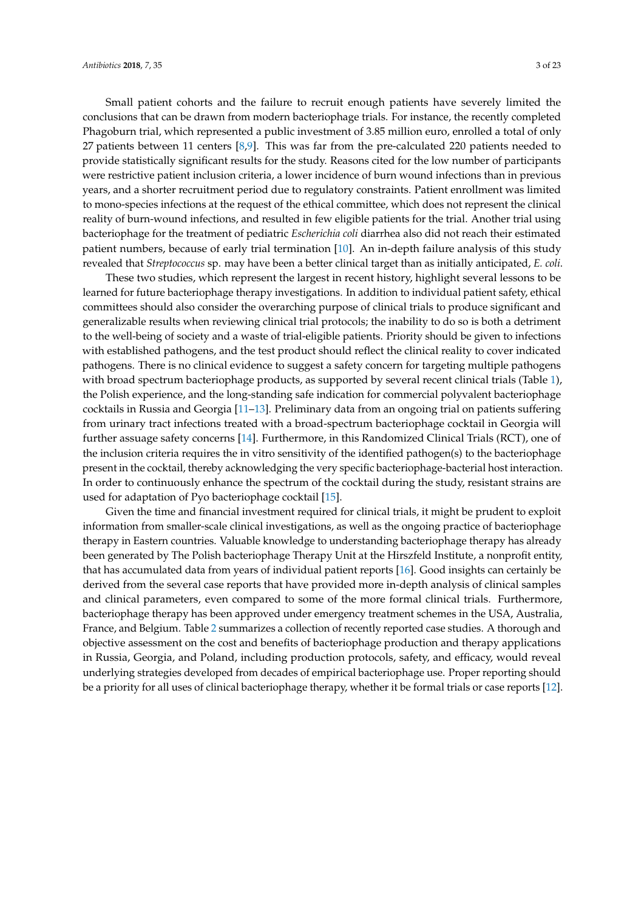Small patient cohorts and the failure to recruit enough patients have severely limited the conclusions that can be drawn from modern bacteriophage trials. For instance, the recently completed Phagoburn trial, which represented a public investment of 3.85 million euro, enrolled a total of only 27 patients between 11 centers [\[8,](#page-20-6)[9\]](#page-20-7). This was far from the pre-calculated 220 patients needed to provide statistically significant results for the study. Reasons cited for the low number of participants were restrictive patient inclusion criteria, a lower incidence of burn wound infections than in previous years, and a shorter recruitment period due to regulatory constraints. Patient enrollment was limited to mono-species infections at the request of the ethical committee, which does not represent the clinical reality of burn-wound infections, and resulted in few eligible patients for the trial. Another trial using bacteriophage for the treatment of pediatric *Escherichia coli* diarrhea also did not reach their estimated patient numbers, because of early trial termination [\[10\]](#page-20-8). An in-depth failure analysis of this study revealed that *Streptococcus* sp. may have been a better clinical target than as initially anticipated, *E. coli*.

These two studies, which represent the largest in recent history, highlight several lessons to be learned for future bacteriophage therapy investigations. In addition to individual patient safety, ethical committees should also consider the overarching purpose of clinical trials to produce significant and generalizable results when reviewing clinical trial protocols; the inability to do so is both a detriment to the well-being of society and a waste of trial-eligible patients. Priority should be given to infections with established pathogens, and the test product should reflect the clinical reality to cover indicated pathogens. There is no clinical evidence to suggest a safety concern for targeting multiple pathogens with broad spectrum bacteriophage products, as supported by several recent clinical trials (Table [1\)](#page-8-0), the Polish experience, and the long-standing safe indication for commercial polyvalent bacteriophage cocktails in Russia and Georgia [\[11](#page-20-9)[–13\]](#page-20-10). Preliminary data from an ongoing trial on patients suffering from urinary tract infections treated with a broad-spectrum bacteriophage cocktail in Georgia will further assuage safety concerns [\[14\]](#page-20-11). Furthermore, in this Randomized Clinical Trials (RCT), one of the inclusion criteria requires the in vitro sensitivity of the identified pathogen(s) to the bacteriophage present in the cocktail, thereby acknowledging the very specific bacteriophage-bacterial host interaction. In order to continuously enhance the spectrum of the cocktail during the study, resistant strains are used for adaptation of Pyo bacteriophage cocktail [\[15\]](#page-20-12).

Given the time and financial investment required for clinical trials, it might be prudent to exploit information from smaller-scale clinical investigations, as well as the ongoing practice of bacteriophage therapy in Eastern countries. Valuable knowledge to understanding bacteriophage therapy has already been generated by The Polish bacteriophage Therapy Unit at the Hirszfeld Institute, a nonprofit entity, that has accumulated data from years of individual patient reports [\[16\]](#page-20-13). Good insights can certainly be derived from the several case reports that have provided more in-depth analysis of clinical samples and clinical parameters, even compared to some of the more formal clinical trials. Furthermore, bacteriophage therapy has been approved under emergency treatment schemes in the USA, Australia, France, and Belgium. Table [2](#page-11-0) summarizes a collection of recently reported case studies. A thorough and objective assessment on the cost and benefits of bacteriophage production and therapy applications in Russia, Georgia, and Poland, including production protocols, safety, and efficacy, would reveal underlying strategies developed from decades of empirical bacteriophage use. Proper reporting should be a priority for all uses of clinical bacteriophage therapy, whether it be formal trials or case reports [\[12\]](#page-20-14).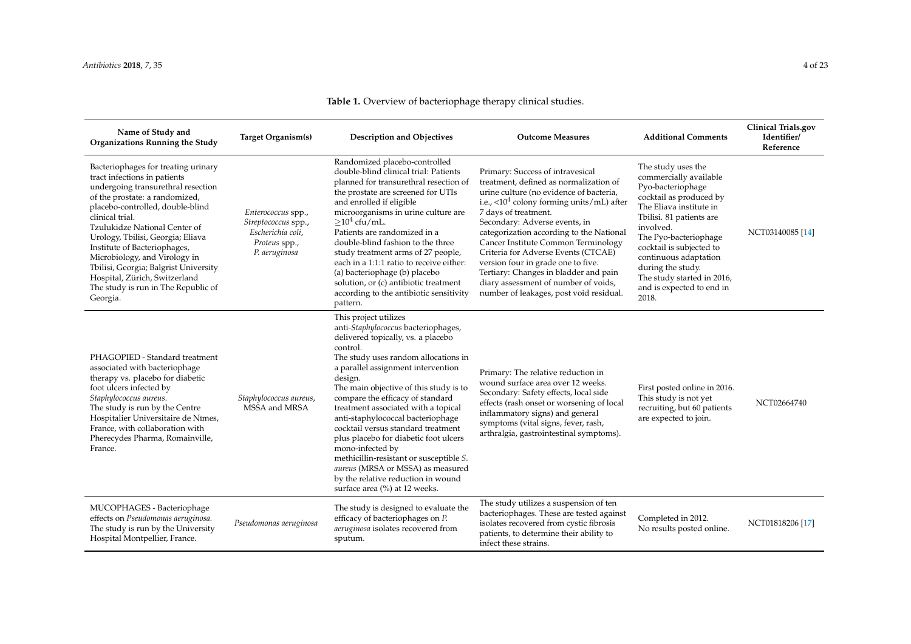# **Table 1.** Overview of bacteriophage therapy clinical studies.

| Name of Study and<br>Organizations Running the Study                                                                                                                                                                                                                                                                                                                                                                                                                   | Target Organism(s)                                                                               | <b>Description and Objectives</b>                                                                                                                                                                                                                                                                                                                                                                                                                                                                                                                                                                                           | <b>Outcome Measures</b>                                                                                                                                                                                                                                                                                                                                                                                                                                                                                                                          | <b>Additional Comments</b>                                                                                                                                                                                                                                                                                                              | Clinical Trials.gov<br>Identifier/<br>Reference |
|------------------------------------------------------------------------------------------------------------------------------------------------------------------------------------------------------------------------------------------------------------------------------------------------------------------------------------------------------------------------------------------------------------------------------------------------------------------------|--------------------------------------------------------------------------------------------------|-----------------------------------------------------------------------------------------------------------------------------------------------------------------------------------------------------------------------------------------------------------------------------------------------------------------------------------------------------------------------------------------------------------------------------------------------------------------------------------------------------------------------------------------------------------------------------------------------------------------------------|--------------------------------------------------------------------------------------------------------------------------------------------------------------------------------------------------------------------------------------------------------------------------------------------------------------------------------------------------------------------------------------------------------------------------------------------------------------------------------------------------------------------------------------------------|-----------------------------------------------------------------------------------------------------------------------------------------------------------------------------------------------------------------------------------------------------------------------------------------------------------------------------------------|-------------------------------------------------|
| Bacteriophages for treating urinary<br>tract infections in patients<br>undergoing transurethral resection<br>of the prostate: a randomized,<br>placebo-controlled, double-blind<br>clinical trial.<br>Tzulukidze National Center of<br>Urology, Tbilisi, Georgia; Eliava<br>Institute of Bacteriophages,<br>Microbiology, and Virology in<br>Tbilisi, Georgia; Balgrist University<br>Hospital, Zürich, Switzerland<br>The study is run in The Republic of<br>Georgia. | Enterococcus spp.,<br>Streptococcus spp.,<br>Escherichia coli,<br>Proteus spp.,<br>P. aeruginosa | Randomized placebo-controlled<br>double-blind clinical trial: Patients<br>planned for transurethral resection of<br>the prostate are screened for UTIs<br>and enrolled if eligible<br>microorganisms in urine culture are<br>$>10^4$ cfu/mL.<br>Patients are randomized in a<br>double-blind fashion to the three<br>study treatment arms of 27 people,<br>each in a 1:1:1 ratio to receive either:<br>(a) bacteriophage (b) placebo<br>solution, or (c) antibiotic treatment<br>according to the antibiotic sensitivity<br>pattern.                                                                                        | Primary: Success of intravesical<br>treatment, defined as normalization of<br>urine culture (no evidence of bacteria,<br>i.e., $\langle 10^4 \text{ colony forming units/mL} \rangle$ after<br>7 days of treatment.<br>Secondary: Adverse events, in<br>categorization according to the National<br>Cancer Institute Common Terminology<br>Criteria for Adverse Events (CTCAE)<br>version four in grade one to five.<br>Tertiary: Changes in bladder and pain<br>diary assessment of number of voids,<br>number of leakages, post void residual. | The study uses the<br>commercially available<br>Pyo-bacteriophage<br>cocktail as produced by<br>The Eliava institute in<br>Tbilisi. 81 patients are<br>involved.<br>The Pyo-bacteriophage<br>cocktail is subjected to<br>continuous adaptation<br>during the study.<br>The study started in 2016,<br>and is expected to end in<br>2018. | NCT03140085 [14]                                |
| PHAGOPIED - Standard treatment<br>associated with bacteriophage<br>therapy vs. placebo for diabetic<br>foot ulcers infected by<br>Staphylococcus aureus.<br>The study is run by the Centre<br>Hospitalier Universitaire de Nīmes,<br>France, with collaboration with<br>Pherecydes Pharma, Romainville,<br>France.                                                                                                                                                     | Staphylococcus aureus,<br>MSSA and MRSA                                                          | This project utilizes<br>anti-Staphylococcus bacteriophages,<br>delivered topically, vs. a placebo<br>control.<br>The study uses random allocations in<br>a parallel assignment intervention<br>design.<br>The main objective of this study is to<br>compare the efficacy of standard<br>treatment associated with a topical<br>anti-staphylococcal bacteriophage<br>cocktail versus standard treatment<br>plus placebo for diabetic foot ulcers<br>mono-infected by<br>methicillin-resistant or susceptible S.<br>aureus (MRSA or MSSA) as measured<br>by the relative reduction in wound<br>surface area (%) at 12 weeks. | Primary: The relative reduction in<br>wound surface area over 12 weeks.<br>Secondary: Safety effects, local side<br>effects (rash onset or worsening of local<br>inflammatory signs) and general<br>symptoms (vital signs, fever, rash,<br>arthralgia, gastrointestinal symptoms).                                                                                                                                                                                                                                                               | First posted online in 2016.<br>This study is not yet<br>recruiting, but 60 patients<br>are expected to join.                                                                                                                                                                                                                           | NCT02664740                                     |
| MUCOPHAGES - Bacteriophage<br>effects on Pseudomonas aeruginosa.<br>The study is run by the University<br>Hospital Montpellier, France.                                                                                                                                                                                                                                                                                                                                | Pseudomonas aeruginosa                                                                           | The study is designed to evaluate the<br>efficacy of bacteriophages on P.<br>aeruginosa isolates recovered from<br>sputum.                                                                                                                                                                                                                                                                                                                                                                                                                                                                                                  | The study utilizes a suspension of ten<br>bacteriophages. These are tested against<br>isolates recovered from cystic fibrosis<br>patients, to determine their ability to<br>infect these strains.                                                                                                                                                                                                                                                                                                                                                | Completed in 2012.<br>No results posted online.                                                                                                                                                                                                                                                                                         | NCT01818206 [17]                                |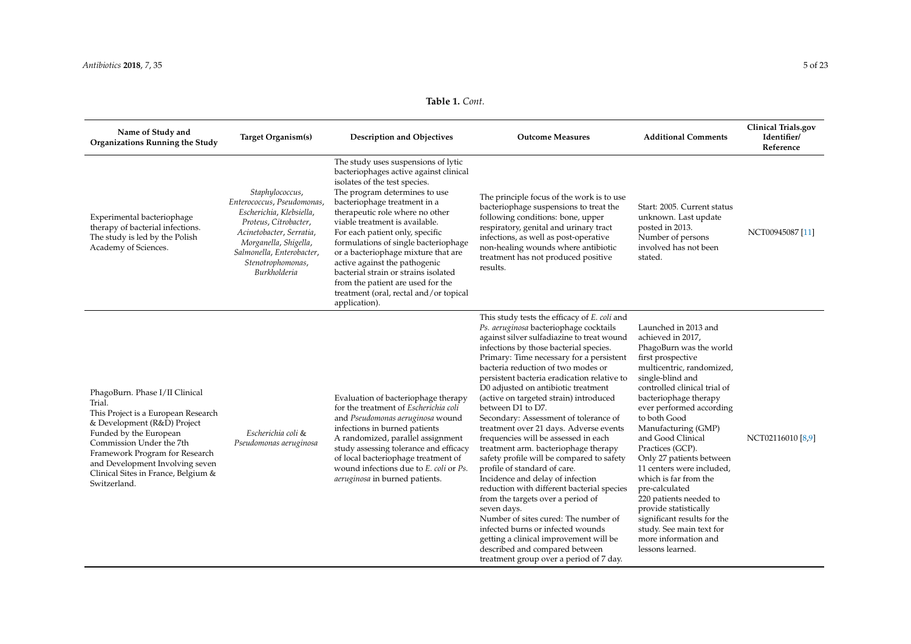| Name of Study and<br><b>Organizations Running the Study</b>                                                                                                                                                                                                                                      | Target Organism(s)                                                                                                                                                                                                        | <b>Description and Objectives</b>                                                                                                                                                                                                                                                                                                                                                                                                                                                                                                               | <b>Outcome Measures</b>                                                                                                                                                                                                                                                                                                                                                                                                                                                                                                                                                                                                                                                                                                                                                                                                                                                                                                                                                                                         | <b>Additional Comments</b>                                                                                                                                                                                                                                                                                                                                                                                                                                                                                                                                                    | <b>Clinical Trials.gov</b><br>Identifier/<br>Reference |
|--------------------------------------------------------------------------------------------------------------------------------------------------------------------------------------------------------------------------------------------------------------------------------------------------|---------------------------------------------------------------------------------------------------------------------------------------------------------------------------------------------------------------------------|-------------------------------------------------------------------------------------------------------------------------------------------------------------------------------------------------------------------------------------------------------------------------------------------------------------------------------------------------------------------------------------------------------------------------------------------------------------------------------------------------------------------------------------------------|-----------------------------------------------------------------------------------------------------------------------------------------------------------------------------------------------------------------------------------------------------------------------------------------------------------------------------------------------------------------------------------------------------------------------------------------------------------------------------------------------------------------------------------------------------------------------------------------------------------------------------------------------------------------------------------------------------------------------------------------------------------------------------------------------------------------------------------------------------------------------------------------------------------------------------------------------------------------------------------------------------------------|-------------------------------------------------------------------------------------------------------------------------------------------------------------------------------------------------------------------------------------------------------------------------------------------------------------------------------------------------------------------------------------------------------------------------------------------------------------------------------------------------------------------------------------------------------------------------------|--------------------------------------------------------|
| Experimental bacteriophage<br>therapy of bacterial infections.<br>The study is led by the Polish<br>Academy of Sciences.                                                                                                                                                                         | Staphylococcus,<br>Enterococcus, Pseudomonas,<br>Escherichia, Klebsiella,<br>Proteus, Citrobacter,<br>Acinetobacter, Serratia,<br>Morganella, Shigella,<br>Salmonella, Enterobacter,<br>Stenotrophomonas,<br>Burkholderia | The study uses suspensions of lytic<br>bacteriophages active against clinical<br>isolates of the test species.<br>The program determines to use<br>bacteriophage treatment in a<br>therapeutic role where no other<br>viable treatment is available.<br>For each patient only, specific<br>formulations of single bacteriophage<br>or a bacteriophage mixture that are<br>active against the pathogenic<br>bacterial strain or strains isolated<br>from the patient are used for the<br>treatment (oral, rectal and/or topical<br>application). | The principle focus of the work is to use<br>bacteriophage suspensions to treat the<br>following conditions: bone, upper<br>respiratory, genital and urinary tract<br>infections, as well as post-operative<br>non-healing wounds where antibiotic<br>treatment has not produced positive<br>results.                                                                                                                                                                                                                                                                                                                                                                                                                                                                                                                                                                                                                                                                                                           | Start: 2005. Current status<br>unknown. Last update<br>posted in 2013.<br>Number of persons<br>involved has not been<br>stated.                                                                                                                                                                                                                                                                                                                                                                                                                                               | NCT00945087 [11]                                       |
| PhagoBurn. Phase I/II Clinical<br>Trial.<br>This Project is a European Research<br>& Development (R&D) Project<br>Funded by the European<br>Commission Under the 7th<br>Framework Program for Research<br>and Development Involving seven<br>Clinical Sites in France, Belgium &<br>Switzerland. | Escherichia coli &<br>Pseudomonas aeruginosa                                                                                                                                                                              | Evaluation of bacteriophage therapy<br>for the treatment of Escherichia coli<br>and Pseudomonas aeruginosa wound<br>infections in burned patients<br>A randomized, parallel assignment<br>study assessing tolerance and efficacy<br>of local bacteriophage treatment of<br>wound infections due to E. coli or Ps.<br>aeruginosa in burned patients.                                                                                                                                                                                             | This study tests the efficacy of E. coli and<br>Ps. aeruginosa bacteriophage cocktails<br>against silver sulfadiazine to treat wound<br>infections by those bacterial species.<br>Primary: Time necessary for a persistent<br>bacteria reduction of two modes or<br>persistent bacteria eradication relative to<br>D0 adjusted on antibiotic treatment<br>(active on targeted strain) introduced<br>between D1 to D7.<br>Secondary: Assessment of tolerance of<br>treatment over 21 days. Adverse events<br>frequencies will be assessed in each<br>treatment arm. bacteriophage therapy<br>safety profile will be compared to safety<br>profile of standard of care.<br>Incidence and delay of infection<br>reduction with different bacterial species<br>from the targets over a period of<br>seven days.<br>Number of sites cured: The number of<br>infected burns or infected wounds<br>getting a clinical improvement will be<br>described and compared between<br>treatment group over a period of 7 day. | Launched in 2013 and<br>achieved in 2017,<br>PhagoBurn was the world<br>first prospective<br>multicentric, randomized,<br>single-blind and<br>controlled clinical trial of<br>bacteriophage therapy<br>ever performed according<br>to both Good<br>Manufacturing (GMP)<br>and Good Clinical<br>Practices (GCP).<br>Only 27 patients between<br>11 centers were included,<br>which is far from the<br>pre-calculated<br>220 patients needed to<br>provide statistically<br>significant results for the<br>study. See main text for<br>more information and<br>lessons learned. | NCT02116010 [8,9]                                      |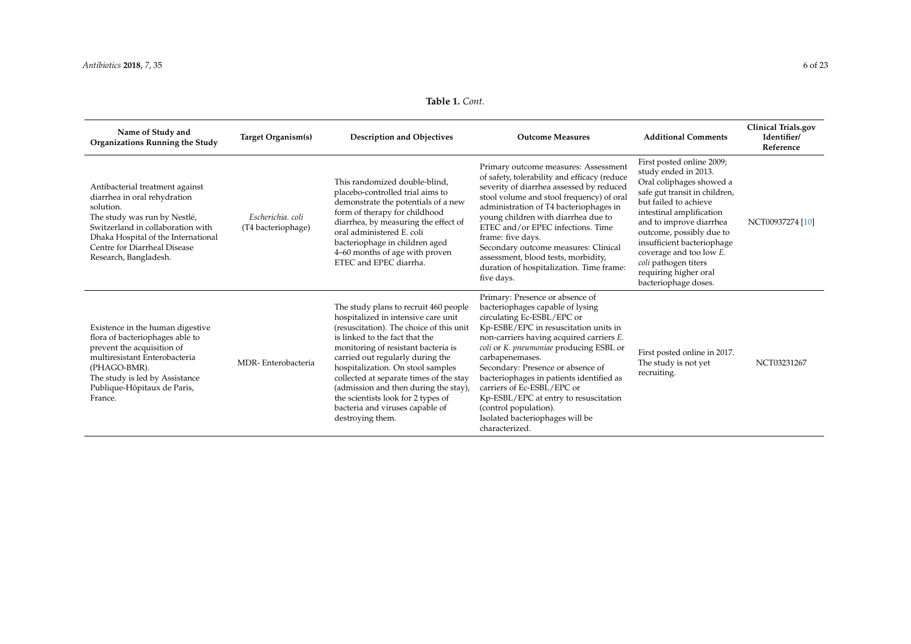| Name of Study and<br>Organizations Running the Study                                                                                                                                                                                              | Target Organism(s)                      | <b>Description and Objectives</b>                                                                                                                                                                                                                                                                                                                                                                                                                           | <b>Outcome Measures</b>                                                                                                                                                                                                                                                                                                                                                                                                                                                                    | <b>Additional Comments</b>                                                                                                                                                                                                                                                                                                                                   | <b>Clinical Trials.gov</b><br>Identifier/<br>Reference |
|---------------------------------------------------------------------------------------------------------------------------------------------------------------------------------------------------------------------------------------------------|-----------------------------------------|-------------------------------------------------------------------------------------------------------------------------------------------------------------------------------------------------------------------------------------------------------------------------------------------------------------------------------------------------------------------------------------------------------------------------------------------------------------|--------------------------------------------------------------------------------------------------------------------------------------------------------------------------------------------------------------------------------------------------------------------------------------------------------------------------------------------------------------------------------------------------------------------------------------------------------------------------------------------|--------------------------------------------------------------------------------------------------------------------------------------------------------------------------------------------------------------------------------------------------------------------------------------------------------------------------------------------------------------|--------------------------------------------------------|
| Antibacterial treatment against<br>diarrhea in oral rehydration<br>solution.<br>The study was run by Nestlé,<br>Switzerland in collaboration with<br>Dhaka Hospital of the International<br>Centre for Diarrheal Disease<br>Research, Bangladesh. | Escherichia, coli<br>(T4 bacteriophage) | This randomized double-blind,<br>placebo-controlled trial aims to<br>demonstrate the potentials of a new<br>form of therapy for childhood<br>diarrhea, by measuring the effect of<br>oral administered E. coli<br>bacteriophage in children aged<br>4-60 months of age with proven<br>ETEC and EPEC diarrha.                                                                                                                                                | Primary outcome measures: Assessment<br>of safety, tolerability and efficacy (reduce<br>severity of diarrhea assessed by reduced<br>stool volume and stool frequency) of oral<br>administration of T4 bacteriophages in<br>young children with diarrhea due to<br>ETEC and/or EPEC infections. Time<br>frame: five days.<br>Secondary outcome measures: Clinical<br>assessment, blood tests, morbidity,<br>duration of hospitalization. Time frame:<br>five days.                          | First posted online 2009;<br>study ended in 2013.<br>Oral coliphages showed a<br>safe gut transit in children,<br>but failed to achieve<br>intestinal amplification<br>and to improve diarrhea<br>outcome, possibly due to<br>insufficient bacteriophage<br>coverage and too low E.<br>coli pathogen titers<br>requiring higher oral<br>bacteriophage doses. | NCT00937274 [10]                                       |
| Existence in the human digestive<br>flora of bacteriophages able to<br>prevent the acquisition of<br>multiresistant Enterobacteria<br>(PHAGO-BMR).<br>The study is led by Assistance<br>Publique-Hôpitaux de Paris,<br>France.                    | MDR-Enterobacteria                      | The study plans to recruit 460 people<br>hospitalized in intensive care unit<br>(resuscitation). The choice of this unit<br>is linked to the fact that the<br>monitoring of resistant bacteria is<br>carried out regularly during the<br>hospitalization. On stool samples<br>collected at separate times of the stay<br>(admission and then during the stay),<br>the scientists look for 2 types of<br>bacteria and viruses capable of<br>destroying them. | Primary: Presence or absence of<br>bacteriophages capable of lysing<br>circulating Ec-ESBL/EPC or<br>Kp-ESBE/EPC in resuscitation units in<br>non-carriers having acquired carriers E.<br>coli or K. pneumoniae producing ESBL or<br>carbapenemases.<br>Secondary: Presence or absence of<br>bacteriophages in patients identified as<br>carriers of Ec-ESBL/EPC or<br>Kp-ESBL/EPC at entry to resuscitation<br>(control population).<br>Isolated bacteriophages will be<br>characterized. | First posted online in 2017.<br>The study is not yet<br>recruiting.                                                                                                                                                                                                                                                                                          | NCT03231267                                            |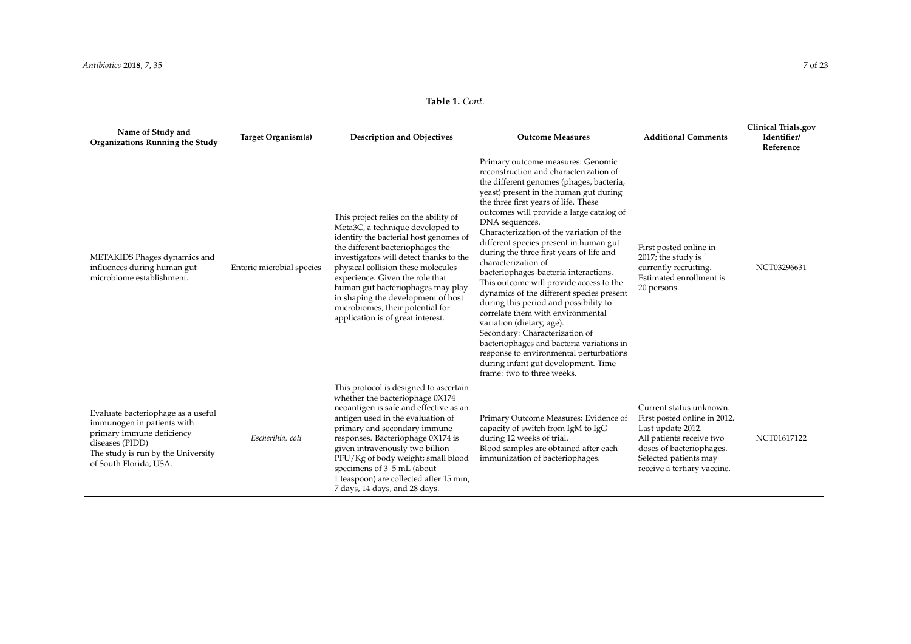| Name of Study and<br>Organizations Running the Study                                                                                                                             | Target Organism(s)        | <b>Description and Objectives</b>                                                                                                                                                                                                                                                                                                                                                                                               | <b>Outcome Measures</b>                                                                                                                                                                                                                                                                                                                                                                                                                                                                                                                                                                                                                                                                                                                                                                                                                                                     | <b>Additional Comments</b>                                                                                                                                                                   | <b>Clinical Trials.gov</b><br>Identifier/<br>Reference |
|----------------------------------------------------------------------------------------------------------------------------------------------------------------------------------|---------------------------|---------------------------------------------------------------------------------------------------------------------------------------------------------------------------------------------------------------------------------------------------------------------------------------------------------------------------------------------------------------------------------------------------------------------------------|-----------------------------------------------------------------------------------------------------------------------------------------------------------------------------------------------------------------------------------------------------------------------------------------------------------------------------------------------------------------------------------------------------------------------------------------------------------------------------------------------------------------------------------------------------------------------------------------------------------------------------------------------------------------------------------------------------------------------------------------------------------------------------------------------------------------------------------------------------------------------------|----------------------------------------------------------------------------------------------------------------------------------------------------------------------------------------------|--------------------------------------------------------|
| METAKIDS Phages dynamics and<br>influences during human gut<br>microbiome establishment.                                                                                         | Enteric microbial species | This project relies on the ability of<br>Meta3C, a technique developed to<br>identify the bacterial host genomes of<br>the different bacteriophages the<br>investigators will detect thanks to the<br>physical collision these molecules<br>experience. Given the role that<br>human gut bacteriophages may play<br>in shaping the development of host<br>microbiomes, their potential for<br>application is of great interest. | Primary outcome measures: Genomic<br>reconstruction and characterization of<br>the different genomes (phages, bacteria,<br>yeast) present in the human gut during<br>the three first years of life. These<br>outcomes will provide a large catalog of<br>DNA sequences.<br>Characterization of the variation of the<br>different species present in human gut<br>during the three first years of life and<br>characterization of<br>bacteriophages-bacteria interactions.<br>This outcome will provide access to the<br>dynamics of the different species present<br>during this period and possibility to<br>correlate them with environmental<br>variation (dietary, age).<br>Secondary: Characterization of<br>bacteriophages and bacteria variations in<br>response to environmental perturbations<br>during infant gut development. Time<br>frame: two to three weeks. | First posted online in<br>2017; the study is<br>currently recruiting.<br>Estimated enrollment is<br>20 persons.                                                                              | NCT03296631                                            |
| Evaluate bacteriophage as a useful<br>immunogen in patients with<br>primary immune deficiency<br>diseases (PIDD)<br>The study is run by the University<br>of South Florida, USA. | Escherihia, coli          | This protocol is designed to ascertain<br>whether the bacteriophage 0X174<br>neoantigen is safe and effective as an<br>antigen used in the evaluation of<br>primary and secondary immune<br>responses. Bacteriophage 0X174 is<br>given intravenously two billion<br>PFU/Kg of body weight; small blood<br>specimens of 3–5 mL (about<br>1 teaspoon) are collected after 15 min,<br>7 days, 14 days, and 28 days.                | Primary Outcome Measures: Evidence of<br>capacity of switch from IgM to IgG<br>during 12 weeks of trial.<br>Blood samples are obtained after each<br>immunization of bacteriophages.                                                                                                                                                                                                                                                                                                                                                                                                                                                                                                                                                                                                                                                                                        | Current status unknown.<br>First posted online in 2012.<br>Last update 2012.<br>All patients receive two<br>doses of bacteriophages.<br>Selected patients may<br>receive a tertiary vaccine. | NCT01617122                                            |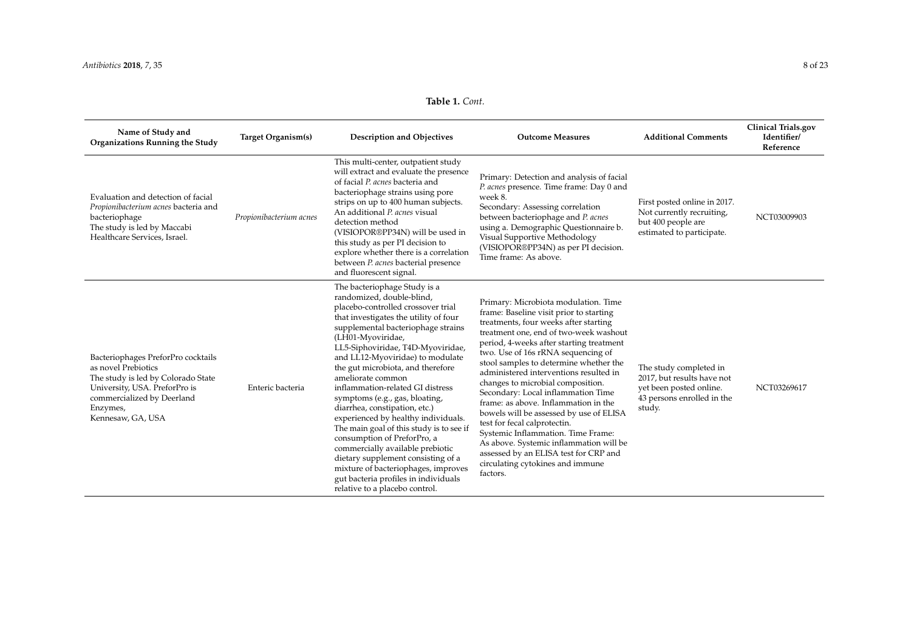| Name of Study and<br><b>Organizations Running the Study</b>                                                                                                                                     | Target Organism(s)      | <b>Description and Objectives</b>                                                                                                                                                                                                                                                                                                                                                                                                                                                                                                                                                                                                                                                                                                                          | <b>Outcome Measures</b>                                                                                                                                                                                                                                                                                                                                                                                                                                                                                                                                                                                                                                                                                          | <b>Additional Comments</b>                                                                                              | <b>Clinical Trials.gov</b><br>Identifier/<br>Reference |
|-------------------------------------------------------------------------------------------------------------------------------------------------------------------------------------------------|-------------------------|------------------------------------------------------------------------------------------------------------------------------------------------------------------------------------------------------------------------------------------------------------------------------------------------------------------------------------------------------------------------------------------------------------------------------------------------------------------------------------------------------------------------------------------------------------------------------------------------------------------------------------------------------------------------------------------------------------------------------------------------------------|------------------------------------------------------------------------------------------------------------------------------------------------------------------------------------------------------------------------------------------------------------------------------------------------------------------------------------------------------------------------------------------------------------------------------------------------------------------------------------------------------------------------------------------------------------------------------------------------------------------------------------------------------------------------------------------------------------------|-------------------------------------------------------------------------------------------------------------------------|--------------------------------------------------------|
| Evaluation and detection of facial<br>Propionibacterium acnes bacteria and<br>bacteriophage<br>The study is led by Maccabi<br>Healthcare Services, Israel.                                      | Propionibacterium acnes | This multi-center, outpatient study<br>will extract and evaluate the presence<br>of facial P. acnes bacteria and<br>bacteriophage strains using pore<br>strips on up to 400 human subjects.<br>An additional P. acnes visual<br>detection method<br>(VISIOPOR®PP34N) will be used in<br>this study as per PI decision to<br>explore whether there is a correlation<br>between P. acnes bacterial presence<br>and fluorescent signal.                                                                                                                                                                                                                                                                                                                       | Primary: Detection and analysis of facial<br>P. acnes presence. Time frame: Day 0 and<br>week 8.<br>Secondary: Assessing correlation<br>between bacteriophage and P. acnes<br>using a. Demographic Questionnaire b.<br>Visual Supportive Methodology<br>(VISIOPOR®PP34N) as per PI decision.<br>Time frame: As above.                                                                                                                                                                                                                                                                                                                                                                                            | First posted online in 2017.<br>Not currently recruiting,<br>but 400 people are<br>estimated to participate.            | NCT03009903                                            |
| Bacteriophages PreforPro cocktails<br>as novel Prebiotics<br>The study is led by Colorado State<br>University, USA. PreforPro is<br>commercialized by Deerland<br>Enzymes,<br>Kennesaw, GA, USA | Enteric bacteria        | The bacteriophage Study is a<br>randomized, double-blind,<br>placebo-controlled crossover trial<br>that investigates the utility of four<br>supplemental bacteriophage strains<br>(LH01-Myoviridae,<br>LL5-Siphoviridae, T4D-Myoviridae,<br>and LL12-Myoviridae) to modulate<br>the gut microbiota, and therefore<br>ameliorate common<br>inflammation-related GI distress<br>symptoms (e.g., gas, bloating,<br>diarrhea, constipation, etc.)<br>experienced by healthy individuals.<br>The main goal of this study is to see if<br>consumption of PreforPro, a<br>commercially available prebiotic<br>dietary supplement consisting of a<br>mixture of bacteriophages, improves<br>gut bacteria profiles in individuals<br>relative to a placebo control. | Primary: Microbiota modulation. Time<br>frame: Baseline visit prior to starting<br>treatments, four weeks after starting<br>treatment one, end of two-week washout<br>period, 4-weeks after starting treatment<br>two. Use of 16s rRNA sequencing of<br>stool samples to determine whether the<br>administered interventions resulted in<br>changes to microbial composition.<br>Secondary: Local inflammation Time<br>frame: as above. Inflammation in the<br>bowels will be assessed by use of ELISA<br>test for fecal calprotectin.<br>Systemic Inflammation. Time Frame:<br>As above. Systemic inflammation will be<br>assessed by an ELISA test for CRP and<br>circulating cytokines and immune<br>factors. | The study completed in<br>2017, but results have not<br>yet been posted online.<br>43 persons enrolled in the<br>study. | NCT03269617                                            |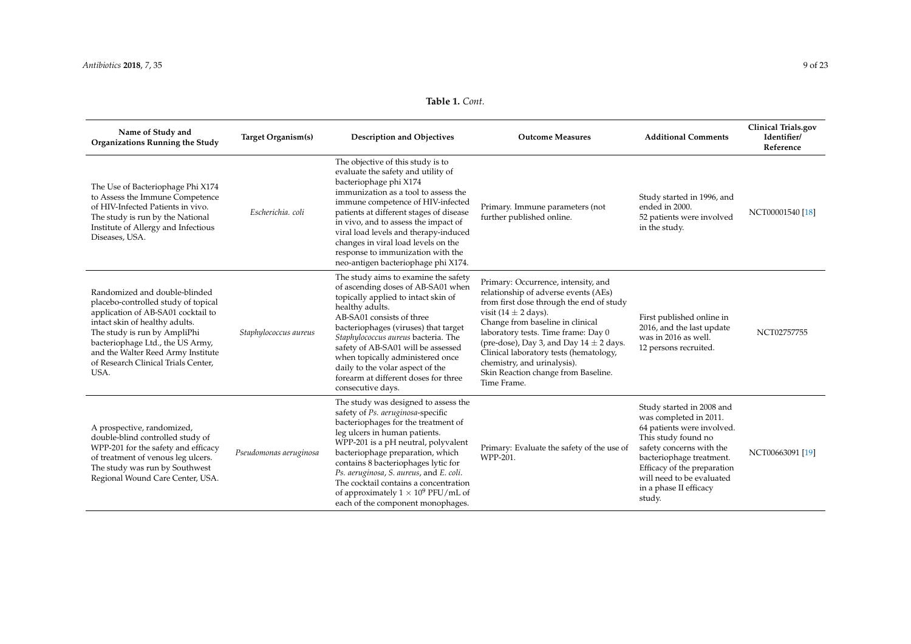<span id="page-8-1"></span><span id="page-8-0"></span>

| Name of Study and<br><b>Organizations Running the Study</b>                                                                                                                                                                                                                                           | Target Organism(s)     | <b>Description and Objectives</b>                                                                                                                                                                                                                                                                                                                                                                                                          | <b>Outcome Measures</b>                                                                                                                                                                                                                                                                                                                                                                                      | <b>Additional Comments</b>                                                                                                                                                                                                                                       | <b>Clinical Trials.gov</b><br>Identifier/<br>Reference |
|-------------------------------------------------------------------------------------------------------------------------------------------------------------------------------------------------------------------------------------------------------------------------------------------------------|------------------------|--------------------------------------------------------------------------------------------------------------------------------------------------------------------------------------------------------------------------------------------------------------------------------------------------------------------------------------------------------------------------------------------------------------------------------------------|--------------------------------------------------------------------------------------------------------------------------------------------------------------------------------------------------------------------------------------------------------------------------------------------------------------------------------------------------------------------------------------------------------------|------------------------------------------------------------------------------------------------------------------------------------------------------------------------------------------------------------------------------------------------------------------|--------------------------------------------------------|
| The Use of Bacteriophage Phi X174<br>to Assess the Immune Competence<br>of HIV-Infected Patients in vivo.<br>The study is run by the National<br>Institute of Allergy and Infectious<br>Diseases, USA.                                                                                                | Escherichia, coli      | The objective of this study is to<br>evaluate the safety and utility of<br>bacteriophage phi X174<br>immunization as a tool to assess the<br>immune competence of HIV-infected<br>patients at different stages of disease<br>in vivo, and to assess the impact of<br>viral load levels and therapy-induced<br>changes in viral load levels on the<br>response to immunization with the<br>neo-antigen bacteriophage phi X174.              | Primary. Immune parameters (not<br>further published online.                                                                                                                                                                                                                                                                                                                                                 | Study started in 1996, and<br>ended in 2000.<br>52 patients were involved<br>in the study.                                                                                                                                                                       | NCT00001540 [18]                                       |
| Randomized and double-blinded<br>placebo-controlled study of topical<br>application of AB-SA01 cocktail to<br>intact skin of healthy adults.<br>The study is run by AmpliPhi<br>bacteriophage Ltd., the US Army,<br>and the Walter Reed Army Institute<br>of Research Clinical Trials Center,<br>USA. | Staphylococcus aureus  | The study aims to examine the safety<br>of ascending doses of AB-SA01 when<br>topically applied to intact skin of<br>healthy adults.<br>AB-SA01 consists of three<br>bacteriophages (viruses) that target<br>Staphylococcus aureus bacteria. The<br>safety of AB-SA01 will be assessed<br>when topically administered once<br>daily to the volar aspect of the<br>forearm at different doses for three<br>consecutive days.                | Primary: Occurrence, intensity, and<br>relationship of adverse events (AEs)<br>from first dose through the end of study<br>visit (14 $\pm$ 2 days).<br>Change from baseline in clinical<br>laboratory tests. Time frame: Day 0<br>(pre-dose), Day 3, and Day $14 \pm 2$ days.<br>Clinical laboratory tests (hematology,<br>chemistry, and urinalysis).<br>Skin Reaction change from Baseline.<br>Time Frame. | First published online in<br>2016, and the last update<br>was in 2016 as well.<br>12 persons recruited.                                                                                                                                                          | NCT02757755                                            |
| A prospective, randomized,<br>double-blind controlled study of<br>WPP-201 for the safety and efficacy<br>of treatment of venous leg ulcers.<br>The study was run by Southwest<br>Regional Wound Care Center, USA.                                                                                     | Pseudomonas aeruginosa | The study was designed to assess the<br>safety of Ps. aeruginosa-specific<br>bacteriophages for the treatment of<br>leg ulcers in human patients.<br>WPP-201 is a pH neutral, polyvalent<br>bacteriophage preparation, which<br>contains 8 bacteriophages lytic for<br>Ps. aeruginosa, S. aureus, and E. coli.<br>The cocktail contains a concentration<br>of approximately $1 \times 10^9$ PFU/mL of<br>each of the component monophages. | Primary: Evaluate the safety of the use of<br>WPP-201.                                                                                                                                                                                                                                                                                                                                                       | Study started in 2008 and<br>was completed in 2011.<br>64 patients were involved.<br>This study found no<br>safety concerns with the<br>bacteriophage treatment.<br>Efficacy of the preparation<br>will need to be evaluated<br>in a phase II efficacy<br>study. | NCT00663091 [19]                                       |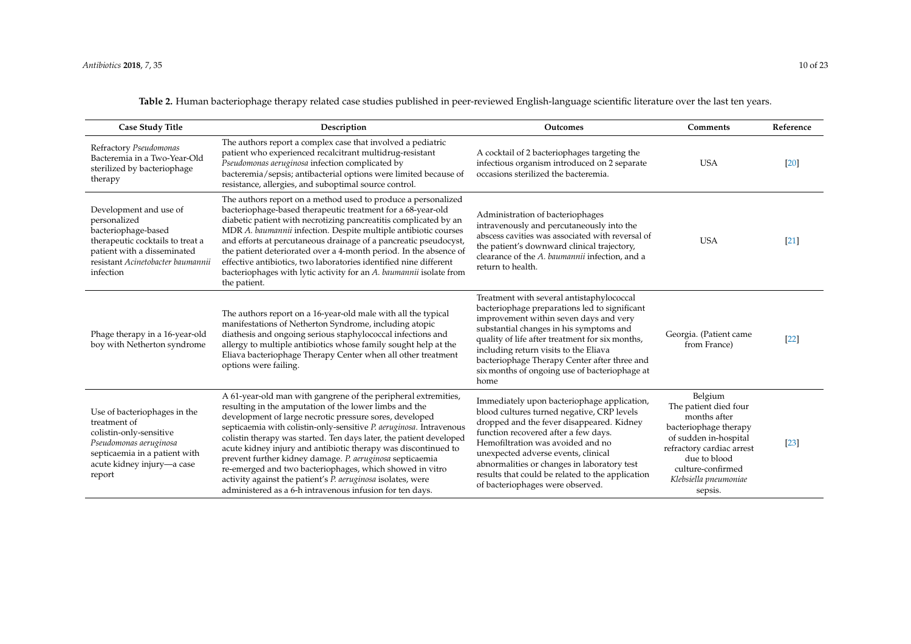| <b>Case Study Title</b>                                                                                                                                                            | Description                                                                                                                                                                                                                                                                                                                                                                                                                                                                                                                                                                                                                                            | Outcomes                                                                                                                                                                                                                                                                                                                                                                                          | <b>Comments</b>                                                                                                                                                                                          | Reference |
|------------------------------------------------------------------------------------------------------------------------------------------------------------------------------------|--------------------------------------------------------------------------------------------------------------------------------------------------------------------------------------------------------------------------------------------------------------------------------------------------------------------------------------------------------------------------------------------------------------------------------------------------------------------------------------------------------------------------------------------------------------------------------------------------------------------------------------------------------|---------------------------------------------------------------------------------------------------------------------------------------------------------------------------------------------------------------------------------------------------------------------------------------------------------------------------------------------------------------------------------------------------|----------------------------------------------------------------------------------------------------------------------------------------------------------------------------------------------------------|-----------|
| Refractory Pseudomonas<br>Bacteremia in a Two-Year-Old<br>sterilized by bacteriophage<br>therapy                                                                                   | The authors report a complex case that involved a pediatric<br>patient who experienced recalcitrant multidrug-resistant<br>Pseudomonas aeruginosa infection complicated by<br>bacteremia/sepsis; antibacterial options were limited because of<br>resistance, allergies, and suboptimal source control.                                                                                                                                                                                                                                                                                                                                                | A cocktail of 2 bacteriophages targeting the<br>infectious organism introduced on 2 separate<br>occasions sterilized the bacteremia.                                                                                                                                                                                                                                                              | <b>USA</b>                                                                                                                                                                                               | [20]      |
| Development and use of<br>personalized<br>bacteriophage-based<br>therapeutic cocktails to treat a<br>patient with a disseminated<br>resistant Acinetobacter baumannii<br>infection | The authors report on a method used to produce a personalized<br>bacteriophage-based therapeutic treatment for a 68-year-old<br>diabetic patient with necrotizing pancreatitis complicated by an<br>MDR A. baumannii infection. Despite multiple antibiotic courses<br>and efforts at percutaneous drainage of a pancreatic pseudocyst,<br>the patient deteriorated over a 4-month period. In the absence of<br>effective antibiotics, two laboratories identified nine different<br>bacteriophages with lytic activity for an A. baumannii isolate from<br>the patient.                                                                               | Administration of bacteriophages<br>intravenously and percutaneously into the<br>abscess cavities was associated with reversal of<br>the patient's downward clinical trajectory,<br>clearance of the A. baumannii infection, and a<br>return to health.                                                                                                                                           | <b>USA</b>                                                                                                                                                                                               | [21]      |
| Phage therapy in a 16-year-old<br>boy with Netherton syndrome                                                                                                                      | The authors report on a 16-year-old male with all the typical<br>manifestations of Netherton Syndrome, including atopic<br>diathesis and ongoing serious staphylococcal infections and<br>allergy to multiple antibiotics whose family sought help at the<br>Eliava bacteriophage Therapy Center when all other treatment<br>options were failing.                                                                                                                                                                                                                                                                                                     | Treatment with several antistaphylococcal<br>bacteriophage preparations led to significant<br>improvement within seven days and very<br>substantial changes in his symptoms and<br>quality of life after treatment for six months,<br>including return visits to the Eliava<br>bacteriophage Therapy Center after three and<br>six months of ongoing use of bacteriophage at<br>home              | Georgia. (Patient came<br>from France)                                                                                                                                                                   | $[22]$    |
| Use of bacteriophages in the<br>treatment of<br>colistin-only-sensitive<br>Pseudomonas aeruginosa<br>septicaemia in a patient with<br>acute kidney injury-a case<br>report         | A 61-year-old man with gangrene of the peripheral extremities,<br>resulting in the amputation of the lower limbs and the<br>development of large necrotic pressure sores, developed<br>septicaemia with colistin-only-sensitive P. aeruginosa. Intravenous<br>colistin therapy was started. Ten days later, the patient developed<br>acute kidney injury and antibiotic therapy was discontinued to<br>prevent further kidney damage. P. aeruginosa septicaemia<br>re-emerged and two bacteriophages, which showed in vitro<br>activity against the patient's P. aeruginosa isolates, were<br>administered as a 6-h intravenous infusion for ten days. | Immediately upon bacteriophage application,<br>blood cultures turned negative, CRP levels<br>dropped and the fever disappeared. Kidney<br>function recovered after a few days.<br>Hemofiltration was avoided and no<br>unexpected adverse events, clinical<br>abnormalities or changes in laboratory test<br>results that could be related to the application<br>of bacteriophages were observed. | Belgium<br>The patient died four<br>months after<br>bacteriophage therapy<br>of sudden in-hospital<br>refractory cardiac arrest<br>due to blood<br>culture-confirmed<br>Klebsiella pneumoniae<br>sepsis. | $[23]$    |

**Table 2.** Human bacteriophage therapy related case studies published in peer-reviewed English-language scientific literature over the last ten years.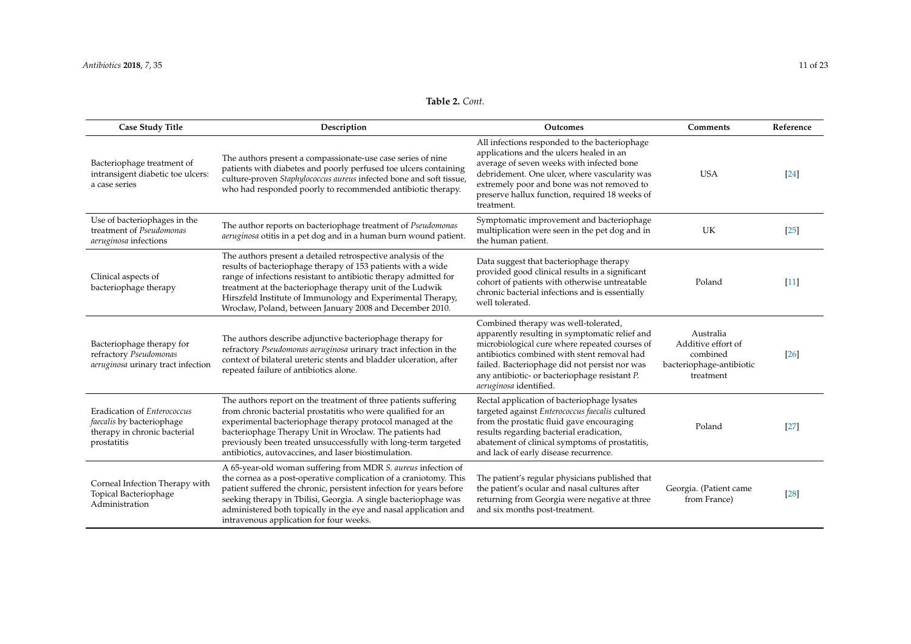| <b>Case Study Title</b>                                                                                        | Description                                                                                                                                                                                                                                                                                                                                                                                 | Outcomes                                                                                                                                                                                                                                                                                                            | Comments                                                                             | Reference |
|----------------------------------------------------------------------------------------------------------------|---------------------------------------------------------------------------------------------------------------------------------------------------------------------------------------------------------------------------------------------------------------------------------------------------------------------------------------------------------------------------------------------|---------------------------------------------------------------------------------------------------------------------------------------------------------------------------------------------------------------------------------------------------------------------------------------------------------------------|--------------------------------------------------------------------------------------|-----------|
| Bacteriophage treatment of<br>intransigent diabetic toe ulcers:<br>a case series                               | The authors present a compassionate-use case series of nine<br>patients with diabetes and poorly perfused toe ulcers containing<br>culture-proven Staphylococcus aureus infected bone and soft tissue,<br>who had responded poorly to recommended antibiotic therapy.                                                                                                                       | All infections responded to the bacteriophage<br>applications and the ulcers healed in an<br>average of seven weeks with infected bone<br>debridement. One ulcer, where vascularity was<br>extremely poor and bone was not removed to<br>preserve hallux function, required 18 weeks of<br>treatment.               | <b>USA</b>                                                                           | [24]      |
| Use of bacteriophages in the<br>treatment of Pseudomonas<br>aeruginosa infections                              | The author reports on bacteriophage treatment of Pseudomonas<br>aeruginosa otitis in a pet dog and in a human burn wound patient.                                                                                                                                                                                                                                                           | Symptomatic improvement and bacteriophage<br>multiplication were seen in the pet dog and in<br>the human patient.                                                                                                                                                                                                   | UK                                                                                   | $[25]$    |
| Clinical aspects of<br>bacteriophage therapy                                                                   | The authors present a detailed retrospective analysis of the<br>results of bacteriophage therapy of 153 patients with a wide<br>range of infections resistant to antibiotic therapy admitted for<br>treatment at the bacteriophage therapy unit of the Ludwik<br>Hirszfeld Institute of Immunology and Experimental Therapy,<br>Wrocław, Poland, between January 2008 and December 2010.    | Data suggest that bacteriophage therapy<br>provided good clinical results in a significant<br>cohort of patients with otherwise untreatable<br>chronic bacterial infections and is essentially<br>well tolerated.                                                                                                   | Poland                                                                               | $[11]$    |
| Bacteriophage therapy for<br>refractory Pseudomonas<br>aeruginosa urinary tract infection                      | The authors describe adjunctive bacteriophage therapy for<br>refractory Pseudomonas aeruginosa urinary tract infection in the<br>context of bilateral ureteric stents and bladder ulceration, after<br>repeated failure of antibiotics alone.                                                                                                                                               | Combined therapy was well-tolerated,<br>apparently resulting in symptomatic relief and<br>microbiological cure where repeated courses of<br>antibiotics combined with stent removal had<br>failed. Bacteriophage did not persist nor was<br>any antibiotic- or bacteriophage resistant P.<br>aeruginosa identified. | Australia<br>Additive effort of<br>combined<br>bacteriophage-antibiotic<br>treatment | [26]      |
| Eradication of Enterococcus<br><i>faecalis</i> by bacteriophage<br>therapy in chronic bacterial<br>prostatitis | The authors report on the treatment of three patients suffering<br>from chronic bacterial prostatitis who were qualified for an<br>experimental bacteriophage therapy protocol managed at the<br>bacteriophage Therapy Unit in Wrocław. The patients had<br>previously been treated unsuccessfully with long-term targeted<br>antibiotics, autovaccines, and laser biostimulation.          | Rectal application of bacteriophage lysates<br>targeted against Enterococcus faecalis cultured<br>from the prostatic fluid gave encouraging<br>results regarding bacterial eradication,<br>abatement of clinical symptoms of prostatitis,<br>and lack of early disease recurrence.                                  | Poland                                                                               | $[27]$    |
| Corneal Infection Therapy with<br>Topical Bacteriophage<br>Administration                                      | A 65-year-old woman suffering from MDR S. aureus infection of<br>the cornea as a post-operative complication of a craniotomy. This<br>patient suffered the chronic, persistent infection for years before<br>seeking therapy in Tbilisi, Georgia. A single bacteriophage was<br>administered both topically in the eye and nasal application and<br>intravenous application for four weeks. | The patient's regular physicians published that<br>the patient's ocular and nasal cultures after<br>returning from Georgia were negative at three<br>and six months post-treatment.                                                                                                                                 | Georgia. (Patient came<br>from France)                                               | [28]      |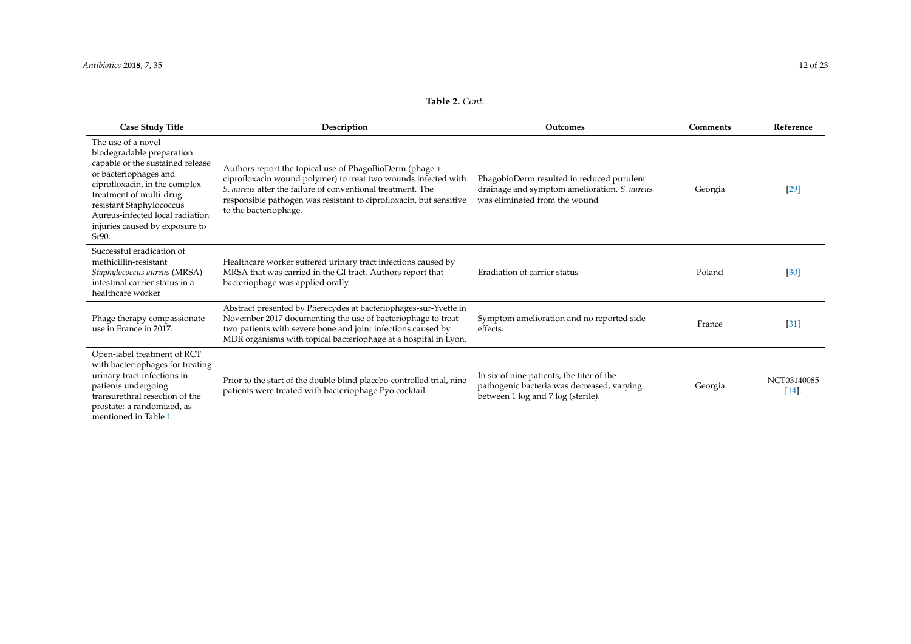<span id="page-11-0"></span>

| <b>Case Study Title</b>                                                                                                                                                                                                                                                            | Description                                                                                                                                                                                                                                                                            | <b>Outcomes</b>                                                                                                               | Comments | Reference           |
|------------------------------------------------------------------------------------------------------------------------------------------------------------------------------------------------------------------------------------------------------------------------------------|----------------------------------------------------------------------------------------------------------------------------------------------------------------------------------------------------------------------------------------------------------------------------------------|-------------------------------------------------------------------------------------------------------------------------------|----------|---------------------|
| The use of a novel<br>biodegradable preparation<br>capable of the sustained release<br>of bacteriophages and<br>ciprofloxacin, in the complex<br>treatment of multi-drug<br>resistant Staphylococcus<br>Aureus-infected local radiation<br>injuries caused by exposure to<br>Sr90. | Authors report the topical use of PhagoBioDerm (phage +<br>ciprofloxacin wound polymer) to treat two wounds infected with<br>S, aureus after the failure of conventional treatment. The<br>responsible pathogen was resistant to ciprofloxacin, but sensitive<br>to the bacteriophage. | PhagobioDerm resulted in reduced purulent<br>drainage and symptom amelioration. S. aureus<br>was eliminated from the wound    | Georgia  | [29]                |
| Successful eradication of<br>methicillin-resistant<br>Staphylococcus aureus (MRSA)<br>intestinal carrier status in a<br>healthcare worker                                                                                                                                          | Healthcare worker suffered urinary tract infections caused by<br>MRSA that was carried in the GI tract. Authors report that<br>bacteriophage was applied orally                                                                                                                        | Eradiation of carrier status                                                                                                  | Poland   | [30]                |
| Phage therapy compassionate<br>use in France in 2017.                                                                                                                                                                                                                              | Abstract presented by Pherecydes at bacteriophages-sur-Yvette in<br>November 2017 documenting the use of bacteriophage to treat<br>two patients with severe bone and joint infections caused by<br>MDR organisms with topical bacteriophage at a hospital in Lyon.                     | Symptom amelioration and no reported side<br>effects.                                                                         | France   | [31]                |
| Open-label treatment of RCT<br>with bacteriophages for treating<br>urinary tract infections in<br>patients undergoing<br>transurethral resection of the<br>prostate: a randomized, as<br>mentioned in Table 1.                                                                     | Prior to the start of the double-blind placebo-controlled trial, nine<br>patients were treated with bacteriophage Pyo cocktail.                                                                                                                                                        | In six of nine patients, the titer of the<br>pathogenic bacteria was decreased, varying<br>between 1 log and 7 log (sterile). | Georgia  | NCT03140085<br>[14] |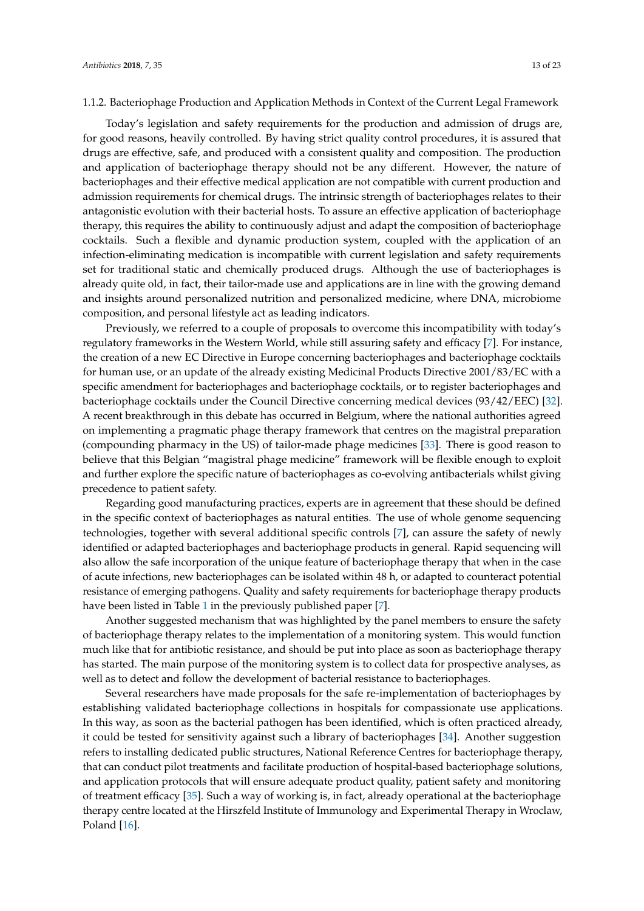#### 1.1.2. Bacteriophage Production and Application Methods in Context of the Current Legal Framework

Today's legislation and safety requirements for the production and admission of drugs are, for good reasons, heavily controlled. By having strict quality control procedures, it is assured that drugs are effective, safe, and produced with a consistent quality and composition. The production and application of bacteriophage therapy should not be any different. However, the nature of bacteriophages and their effective medical application are not compatible with current production and admission requirements for chemical drugs. The intrinsic strength of bacteriophages relates to their antagonistic evolution with their bacterial hosts. To assure an effective application of bacteriophage therapy, this requires the ability to continuously adjust and adapt the composition of bacteriophage cocktails. Such a flexible and dynamic production system, coupled with the application of an infection-eliminating medication is incompatible with current legislation and safety requirements set for traditional static and chemically produced drugs. Although the use of bacteriophages is already quite old, in fact, their tailor-made use and applications are in line with the growing demand and insights around personalized nutrition and personalized medicine, where DNA, microbiome composition, and personal lifestyle act as leading indicators.

Previously, we referred to a couple of proposals to overcome this incompatibility with today's regulatory frameworks in the Western World, while still assuring safety and efficacy [\[7\]](#page-20-5). For instance, the creation of a new EC Directive in Europe concerning bacteriophages and bacteriophage cocktails for human use, or an update of the already existing Medicinal Products Directive 2001/83/EC with a specific amendment for bacteriophages and bacteriophage cocktails, or to register bacteriophages and bacteriophage cocktails under the Council Directive concerning medical devices (93/42/EEC) [\[32\]](#page-21-14). A recent breakthrough in this debate has occurred in Belgium, where the national authorities agreed on implementing a pragmatic phage therapy framework that centres on the magistral preparation (compounding pharmacy in the US) of tailor-made phage medicines [\[33\]](#page-21-15). There is good reason to believe that this Belgian "magistral phage medicine" framework will be flexible enough to exploit and further explore the specific nature of bacteriophages as co-evolving antibacterials whilst giving precedence to patient safety.

Regarding good manufacturing practices, experts are in agreement that these should be defined in the specific context of bacteriophages as natural entities. The use of whole genome sequencing technologies, together with several additional specific controls [\[7\]](#page-20-5), can assure the safety of newly identified or adapted bacteriophages and bacteriophage products in general. Rapid sequencing will also allow the safe incorporation of the unique feature of bacteriophage therapy that when in the case of acute infections, new bacteriophages can be isolated within 48 h, or adapted to counteract potential resistance of emerging pathogens. Quality and safety requirements for bacteriophage therapy products have been listed in Table [1](#page-8-0) in the previously published paper [\[7\]](#page-20-5).

Another suggested mechanism that was highlighted by the panel members to ensure the safety of bacteriophage therapy relates to the implementation of a monitoring system. This would function much like that for antibiotic resistance, and should be put into place as soon as bacteriophage therapy has started. The main purpose of the monitoring system is to collect data for prospective analyses, as well as to detect and follow the development of bacterial resistance to bacteriophages.

Several researchers have made proposals for the safe re-implementation of bacteriophages by establishing validated bacteriophage collections in hospitals for compassionate use applications. In this way, as soon as the bacterial pathogen has been identified, which is often practiced already, it could be tested for sensitivity against such a library of bacteriophages [\[34\]](#page-21-16). Another suggestion refers to installing dedicated public structures, National Reference Centres for bacteriophage therapy, that can conduct pilot treatments and facilitate production of hospital-based bacteriophage solutions, and application protocols that will ensure adequate product quality, patient safety and monitoring of treatment efficacy [\[35\]](#page-21-17). Such a way of working is, in fact, already operational at the bacteriophage therapy centre located at the Hirszfeld Institute of Immunology and Experimental Therapy in Wroclaw, Poland [\[16\]](#page-20-13).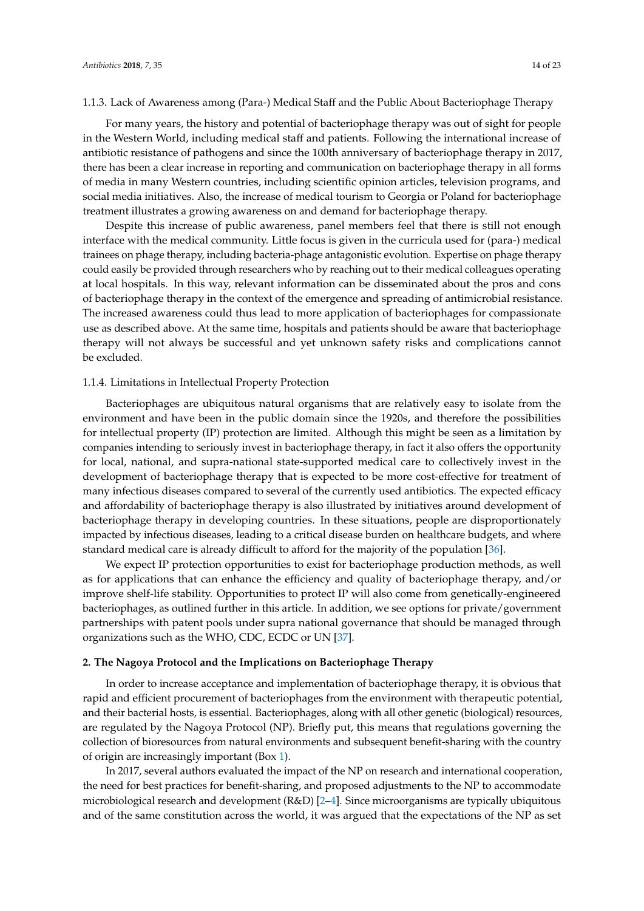## 1.1.3. Lack of Awareness among (Para-) Medical Staff and the Public About Bacteriophage Therapy

For many years, the history and potential of bacteriophage therapy was out of sight for people in the Western World, including medical staff and patients. Following the international increase of antibiotic resistance of pathogens and since the 100th anniversary of bacteriophage therapy in 2017, there has been a clear increase in reporting and communication on bacteriophage therapy in all forms of media in many Western countries, including scientific opinion articles, television programs, and social media initiatives. Also, the increase of medical tourism to Georgia or Poland for bacteriophage treatment illustrates a growing awareness on and demand for bacteriophage therapy.

Despite this increase of public awareness, panel members feel that there is still not enough interface with the medical community. Little focus is given in the curricula used for (para-) medical trainees on phage therapy, including bacteria-phage antagonistic evolution. Expertise on phage therapy could easily be provided through researchers who by reaching out to their medical colleagues operating at local hospitals. In this way, relevant information can be disseminated about the pros and cons of bacteriophage therapy in the context of the emergence and spreading of antimicrobial resistance. The increased awareness could thus lead to more application of bacteriophages for compassionate use as described above. At the same time, hospitals and patients should be aware that bacteriophage therapy will not always be successful and yet unknown safety risks and complications cannot be excluded.

## 1.1.4. Limitations in Intellectual Property Protection

Bacteriophages are ubiquitous natural organisms that are relatively easy to isolate from the environment and have been in the public domain since the 1920s, and therefore the possibilities for intellectual property (IP) protection are limited. Although this might be seen as a limitation by companies intending to seriously invest in bacteriophage therapy, in fact it also offers the opportunity for local, national, and supra-national state-supported medical care to collectively invest in the development of bacteriophage therapy that is expected to be more cost-effective for treatment of many infectious diseases compared to several of the currently used antibiotics. The expected efficacy and affordability of bacteriophage therapy is also illustrated by initiatives around development of bacteriophage therapy in developing countries. In these situations, people are disproportionately impacted by infectious diseases, leading to a critical disease burden on healthcare budgets, and where standard medical care is already difficult to afford for the majority of the population [\[36\]](#page-21-18).

We expect IP protection opportunities to exist for bacteriophage production methods, as well as for applications that can enhance the efficiency and quality of bacteriophage therapy, and/or improve shelf-life stability. Opportunities to protect IP will also come from genetically-engineered bacteriophages, as outlined further in this article. In addition, we see options for private/government partnerships with patent pools under supra national governance that should be managed through organizations such as the WHO, CDC, ECDC or UN [\[37\]](#page-22-0).

#### **2. The Nagoya Protocol and the Implications on Bacteriophage Therapy**

In order to increase acceptance and implementation of bacteriophage therapy, it is obvious that rapid and efficient procurement of bacteriophages from the environment with therapeutic potential, and their bacterial hosts, is essential. Bacteriophages, along with all other genetic (biological) resources, are regulated by the Nagoya Protocol (NP). Briefly put, this means that regulations governing the collection of bioresources from natural environments and subsequent benefit-sharing with the country of origin are increasingly important (Box [1\)](#page-14-0).

In 2017, several authors evaluated the impact of the NP on research and international cooperation, the need for best practices for benefit-sharing, and proposed adjustments to the NP to accommodate microbiological research and development (R&D) [\[2–](#page-20-1)[4\]](#page-20-21). Since microorganisms are typically ubiquitous and of the same constitution across the world, it was argued that the expectations of the NP as set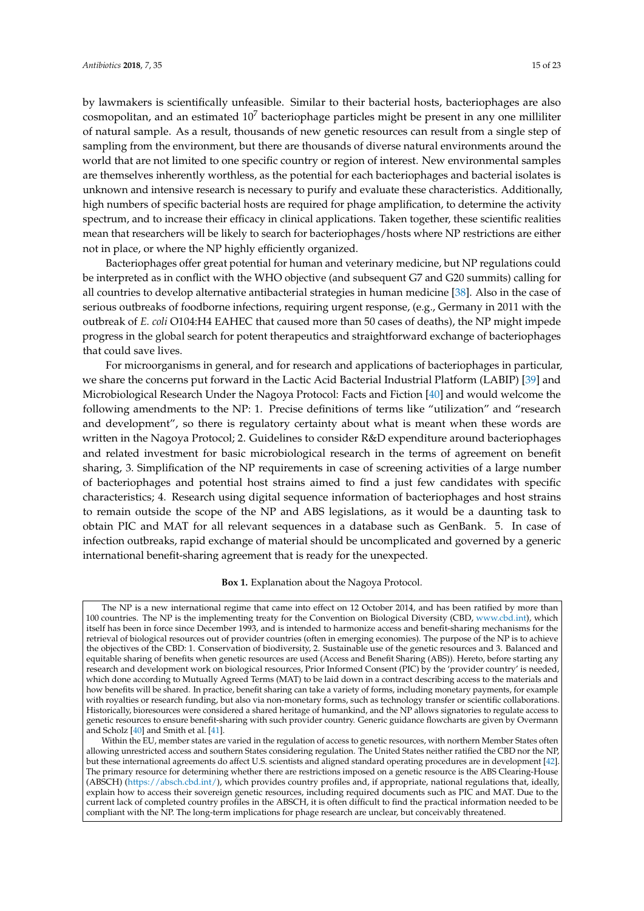by lawmakers is scientifically unfeasible. Similar to their bacterial hosts, bacteriophages are also cosmopolitan, and an estimated  $10<sup>7</sup>$  bacteriophage particles might be present in any one milliliter of natural sample. As a result, thousands of new genetic resources can result from a single step of sampling from the environment, but there are thousands of diverse natural environments around the world that are not limited to one specific country or region of interest. New environmental samples are themselves inherently worthless, as the potential for each bacteriophages and bacterial isolates is unknown and intensive research is necessary to purify and evaluate these characteristics. Additionally, high numbers of specific bacterial hosts are required for phage amplification, to determine the activity spectrum, and to increase their efficacy in clinical applications. Taken together, these scientific realities mean that researchers will be likely to search for bacteriophages/hosts where NP restrictions are either not in place, or where the NP highly efficiently organized.

Bacteriophages offer great potential for human and veterinary medicine, but NP regulations could be interpreted as in conflict with the WHO objective (and subsequent G7 and G20 summits) calling for all countries to develop alternative antibacterial strategies in human medicine [\[38\]](#page-22-1). Also in the case of serious outbreaks of foodborne infections, requiring urgent response, (e.g., Germany in 2011 with the outbreak of *E. coli* O104:H4 EAHEC that caused more than 50 cases of deaths), the NP might impede progress in the global search for potent therapeutics and straightforward exchange of bacteriophages that could save lives.

For microorganisms in general, and for research and applications of bacteriophages in particular, we share the concerns put forward in the Lactic Acid Bacterial Industrial Platform (LABIP) [\[39\]](#page-22-2) and Microbiological Research Under the Nagoya Protocol: Facts and Fiction [\[40\]](#page-22-3) and would welcome the following amendments to the NP: 1. Precise definitions of terms like "utilization" and "research and development", so there is regulatory certainty about what is meant when these words are written in the Nagoya Protocol; 2. Guidelines to consider R&D expenditure around bacteriophages and related investment for basic microbiological research in the terms of agreement on benefit sharing, 3. Simplification of the NP requirements in case of screening activities of a large number of bacteriophages and potential host strains aimed to find a just few candidates with specific characteristics; 4. Research using digital sequence information of bacteriophages and host strains to remain outside the scope of the NP and ABS legislations, as it would be a daunting task to obtain PIC and MAT for all relevant sequences in a database such as GenBank. 5. In case of infection outbreaks, rapid exchange of material should be uncomplicated and governed by a generic international benefit-sharing agreement that is ready for the unexpected.

#### **Box 1.** Explanation about the Nagoya Protocol.

Within the EU, member states are varied in the regulation of access to genetic resources, with northern Member States often allowing unrestricted access and southern States considering regulation. The United States neither ratified the CBD nor the NP, but these international agreements do affect U.S. scientists and aligned standard operating procedures are in development [\[42\]](#page-22-5). The primary resource for determining whether there are restrictions imposed on a genetic resource is the ABS Clearing-House (ABSCH) [\(https://absch.cbd.int/\)](https://absch.cbd.int/), which provides country profiles and, if appropriate, national regulations that, ideally, explain how to access their sovereign genetic resources, including required documents such as PIC and MAT. Due to the current lack of completed country profiles in the ABSCH, it is often difficult to find the practical information needed to be compliant with the NP. The long-term implications for phage research are unclear, but conceivably threatened.

<span id="page-14-0"></span>The NP is a new international regime that came into effect on 12 October 2014, and has been ratified by more than 100 countries. The NP is the implementing treaty for the Convention on Biological Diversity (CBD, [www.cbd.int\)](www.cbd.int), which itself has been in force since December 1993, and is intended to harmonize access and benefit-sharing mechanisms for the retrieval of biological resources out of provider countries (often in emerging economies). The purpose of the NP is to achieve the objectives of the CBD: 1. Conservation of biodiversity, 2. Sustainable use of the genetic resources and 3. Balanced and equitable sharing of benefits when genetic resources are used (Access and Benefit Sharing (ABS)). Hereto, before starting any research and development work on biological resources, Prior Informed Consent (PIC) by the 'provider country' is needed, which done according to Mutually Agreed Terms (MAT) to be laid down in a contract describing access to the materials and how benefits will be shared. In practice, benefit sharing can take a variety of forms, including monetary payments, for example with royalties or research funding, but also via non-monetary forms, such as technology transfer or scientific collaborations. Historically, bioresources were considered a shared heritage of humankind, and the NP allows signatories to regulate access to genetic resources to ensure benefit-sharing with such provider country. Generic guidance flowcharts are given by Overmann and Scholz [\[40\]](#page-22-3) and Smith et al. [\[41\]](#page-22-4).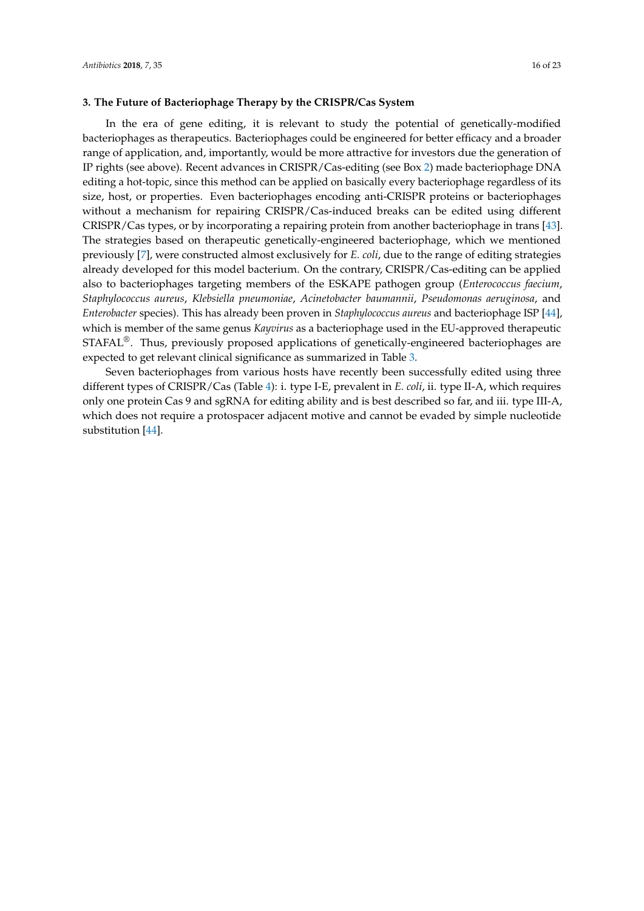In the era of gene editing, it is relevant to study the potential of genetically-modified bacteriophages as therapeutics. Bacteriophages could be engineered for better efficacy and a broader range of application, and, importantly, would be more attractive for investors due the generation of IP rights (see above). Recent advances in CRISPR/Cas-editing (see Box [2\)](#page-17-0) made bacteriophage DNA editing a hot-topic, since this method can be applied on basically every bacteriophage regardless of its size, host, or properties. Even bacteriophages encoding anti-CRISPR proteins or bacteriophages without a mechanism for repairing CRISPR/Cas-induced breaks can be edited using different CRISPR/Cas types, or by incorporating a repairing protein from another bacteriophage in trans [\[43\]](#page-22-6). The strategies based on therapeutic genetically-engineered bacteriophage, which we mentioned previously [\[7\]](#page-20-5), were constructed almost exclusively for *E. coli*, due to the range of editing strategies already developed for this model bacterium. On the contrary, CRISPR/Cas-editing can be applied also to bacteriophages targeting members of the ESKAPE pathogen group (*Enterococcus faecium*, *Staphylococcus aureus*, *Klebsiella pneumoniae*, *Acinetobacter baumannii*, *Pseudomonas aeruginosa*, and *Enterobacter* species). This has already been proven in *Staphylococcus aureus* and bacteriophage ISP [\[44\]](#page-22-7), which is member of the same genus *Kayvirus* as a bacteriophage used in the EU-approved therapeutic STAFAL®. Thus, previously proposed applications of genetically-engineered bacteriophages are expected to get relevant clinical significance as summarized in Table [3.](#page-16-0)

Seven bacteriophages from various hosts have recently been successfully edited using three different types of CRISPR/Cas (Table [4\)](#page-16-1): i. type I-E, prevalent in *E. coli*, ii. type II-A, which requires only one protein Cas 9 and sgRNA for editing ability and is best described so far, and iii. type III-A, which does not require a protospacer adjacent motive and cannot be evaded by simple nucleotide substitution [\[44\]](#page-22-7).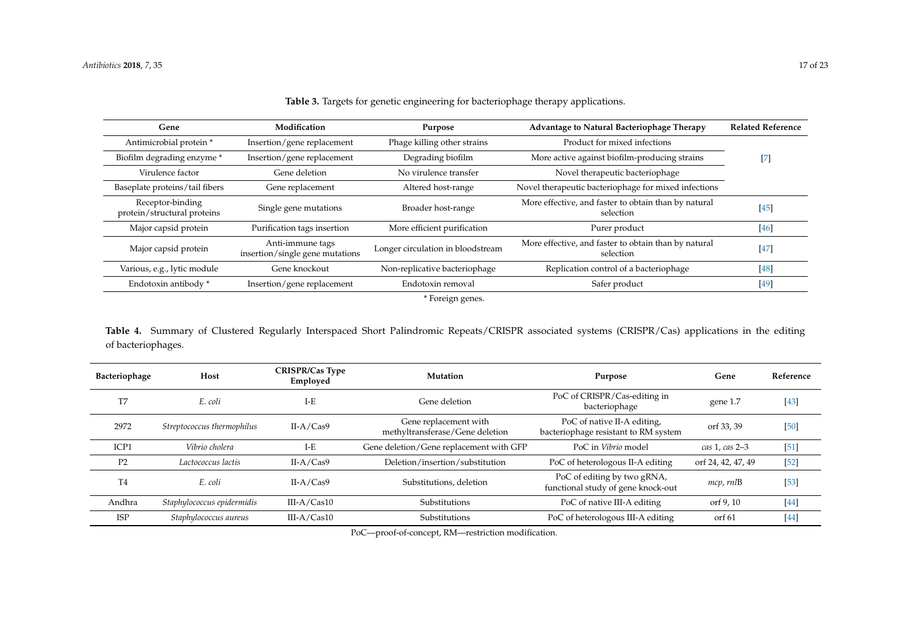| Gene                                            | Modification                                        | Purpose                           | Advantage to Natural Bacteriophage Therapy                        | <b>Related Reference</b> |
|-------------------------------------------------|-----------------------------------------------------|-----------------------------------|-------------------------------------------------------------------|--------------------------|
| Antimicrobial protein*                          | Insertion/gene replacement                          | Phage killing other strains       | Product for mixed infections                                      |                          |
| Biofilm degrading enzyme*                       | Insertion/gene replacement                          | Degrading biofilm                 | More active against biofilm-producing strains                     | $[7]$                    |
| Virulence factor                                | Gene deletion                                       | No virulence transfer             | Novel therapeutic bacteriophage                                   |                          |
| Baseplate proteins/tail fibers                  | Gene replacement                                    | Altered host-range                | Novel therapeutic bacteriophage for mixed infections              |                          |
| Receptor-binding<br>protein/structural proteins | Single gene mutations                               | Broader host-range                | More effective, and faster to obtain than by natural<br>selection | [45]                     |
| Major capsid protein                            | Purification tags insertion                         | More efficient purification       | Purer product                                                     | $[46]$                   |
| Major capsid protein                            | Anti-immune tags<br>insertion/single gene mutations | Longer circulation in bloodstream | More effective, and faster to obtain than by natural<br>selection | $[47]$                   |
| Various, e.g., lytic module                     | Gene knockout                                       | Non-replicative bacteriophage     | Replication control of a bacteriophage                            | [48]                     |
| Endotoxin antibody*                             | Insertion/gene replacement                          | Endotoxin removal                 | Safer product                                                     | $[49]$                   |
|                                                 |                                                     | $\cdots$                          |                                                                   |                          |

**Table 3.** Targets for genetic engineering for bacteriophage therapy applications.

\* Foreign genes.

**Table 4.** Summary of Clustered Regularly Interspaced Short Palindromic Repeats/CRISPR associated systems (CRISPR/Cas) applications in the editing of bacteriophages.

<span id="page-16-1"></span><span id="page-16-0"></span>

| Bacteriophage  | Host                       | <b>CRISPR/Cas Type</b><br>Employed | Mutation                                                 | Purpose                                                             | Gene               | Reference |
|----------------|----------------------------|------------------------------------|----------------------------------------------------------|---------------------------------------------------------------------|--------------------|-----------|
| T7             | E. coli                    | $I-E$                              | Gene deletion                                            | PoC of CRISPR/Cas-editing in<br>bacteriophage                       | gene 1.7           | $[43]$    |
| 2972           | Streptococcus thermophilus | $II-A/Cas9$                        | Gene replacement with<br>methyltransferase/Gene deletion | PoC of native II-A editing,<br>bacteriophage resistant to RM system | orf 33, 39         | [50]      |
| ICP1           | Vibrio cholera             | $I-E$                              | Gene deletion/Gene replacement with GFP                  | PoC in Vibrio model                                                 | cas 1, cas 2–3     | $[51]$    |
| P <sub>2</sub> | Lactococcus lactis         | $II-A/Cas9$                        | Deletion/insertion/substitution                          | PoC of heterologous II-A editing                                    | orf 24, 42, 47, 49 | $[52]$    |
| T <sub>4</sub> | E. coli                    | $II-A/Cas9$                        | Substitutions, deletion                                  | PoC of editing by two gRNA,<br>functional study of gene knock-out   | mcp, rnlB          | $[53]$    |
| Andhra         | Staphylococcus epidermidis | $III-A/Cas10$                      | Substitutions                                            | PoC of native III-A editing                                         | orf 9, 10          | $[44]$    |
| <b>ISP</b>     | Staphylococcus aureus      | $III-A/CaS10$                      | Substitutions                                            | PoC of heterologous III-A editing                                   | orf 61             | [44]      |

PoC—proof-of-concept, RM—restriction modification.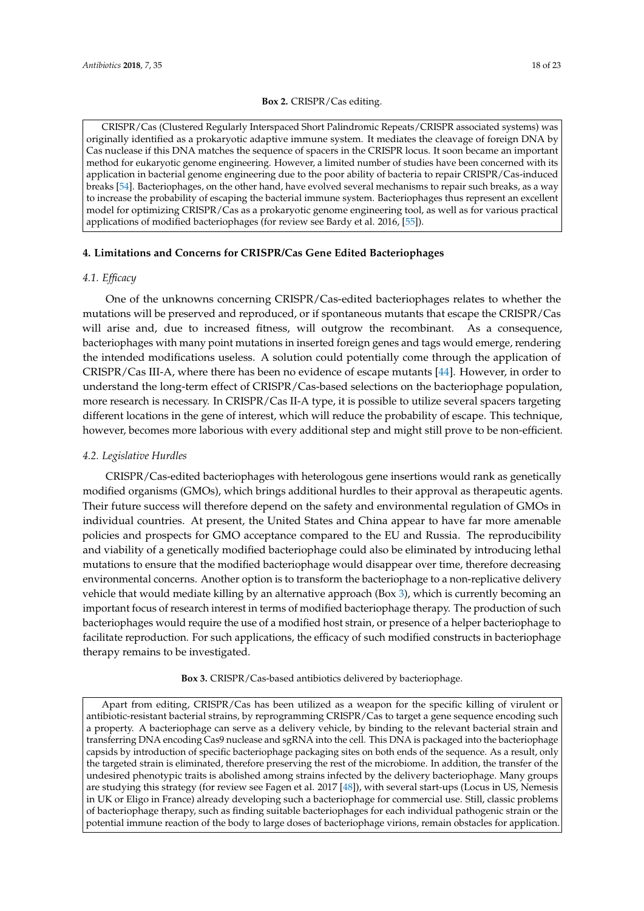#### **Box 2.** CRISPR/Cas editing.

<span id="page-17-0"></span>CRISPR/Cas (Clustered Regularly Interspaced Short Palindromic Repeats/CRISPR associated systems) was originally identified as a prokaryotic adaptive immune system. It mediates the cleavage of foreign DNA by Cas nuclease if this DNA matches the sequence of spacers in the CRISPR locus. It soon became an important method for eukaryotic genome engineering. However, a limited number of studies have been concerned with its application in bacterial genome engineering due to the poor ability of bacteria to repair CRISPR/Cas-induced breaks [\[54\]](#page-22-18). Bacteriophages, on the other hand, have evolved several mechanisms to repair such breaks, as a way to increase the probability of escaping the bacterial immune system. Bacteriophages thus represent an excellent model for optimizing CRISPR/Cas as a prokaryotic genome engineering tool, as well as for various practical applications of modified bacteriophages (for review see Bardy et al. 2016, [\[55\]](#page-22-19)).

## **4. Limitations and Concerns for CRISPR/Cas Gene Edited Bacteriophages**

## *4.1. Efficacy*

One of the unknowns concerning CRISPR/Cas-edited bacteriophages relates to whether the mutations will be preserved and reproduced, or if spontaneous mutants that escape the CRISPR/Cas will arise and, due to increased fitness, will outgrow the recombinant. As a consequence, bacteriophages with many point mutations in inserted foreign genes and tags would emerge, rendering the intended modifications useless. A solution could potentially come through the application of CRISPR/Cas III-A, where there has been no evidence of escape mutants [\[44\]](#page-22-7). However, in order to understand the long-term effect of CRISPR/Cas-based selections on the bacteriophage population, more research is necessary. In CRISPR/Cas II-A type, it is possible to utilize several spacers targeting different locations in the gene of interest, which will reduce the probability of escape. This technique, however, becomes more laborious with every additional step and might still prove to be non-efficient.

## *4.2. Legislative Hurdles*

CRISPR/Cas-edited bacteriophages with heterologous gene insertions would rank as genetically modified organisms (GMOs), which brings additional hurdles to their approval as therapeutic agents. Their future success will therefore depend on the safety and environmental regulation of GMOs in individual countries. At present, the United States and China appear to have far more amenable policies and prospects for GMO acceptance compared to the EU and Russia. The reproducibility and viability of a genetically modified bacteriophage could also be eliminated by introducing lethal mutations to ensure that the modified bacteriophage would disappear over time, therefore decreasing environmental concerns. Another option is to transform the bacteriophage to a non-replicative delivery vehicle that would mediate killing by an alternative approach (Box [3\)](#page-17-1), which is currently becoming an important focus of research interest in terms of modified bacteriophage therapy. The production of such bacteriophages would require the use of a modified host strain, or presence of a helper bacteriophage to facilitate reproduction. For such applications, the efficacy of such modified constructs in bacteriophage therapy remains to be investigated.

**Box 3.** CRISPR/Cas-based antibiotics delivered by bacteriophage.

<span id="page-17-1"></span>Apart from editing, CRISPR/Cas has been utilized as a weapon for the specific killing of virulent or antibiotic-resistant bacterial strains, by reprogramming CRISPR/Cas to target a gene sequence encoding such a property. A bacteriophage can serve as a delivery vehicle, by binding to the relevant bacterial strain and transferring DNA encoding Cas9 nuclease and sgRNA into the cell. This DNA is packaged into the bacteriophage capsids by introduction of specific bacteriophage packaging sites on both ends of the sequence. As a result, only the targeted strain is eliminated, therefore preserving the rest of the microbiome. In addition, the transfer of the undesired phenotypic traits is abolished among strains infected by the delivery bacteriophage. Many groups are studying this strategy (for review see Fagen et al. 2017 [\[48\]](#page-22-20)), with several start-ups (Locus in US, Nemesis in UK or Eligo in France) already developing such a bacteriophage for commercial use. Still, classic problems of bacteriophage therapy, such as finding suitable bacteriophages for each individual pathogenic strain or the potential immune reaction of the body to large doses of bacteriophage virions, remain obstacles for application.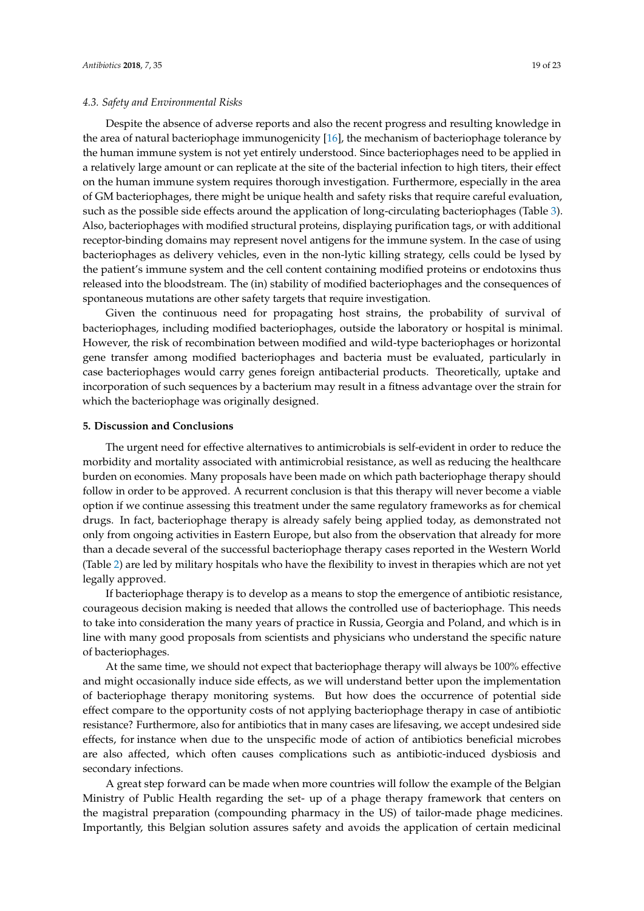Despite the absence of adverse reports and also the recent progress and resulting knowledge in the area of natural bacteriophage immunogenicity [\[16\]](#page-20-13), the mechanism of bacteriophage tolerance by the human immune system is not yet entirely understood. Since bacteriophages need to be applied in a relatively large amount or can replicate at the site of the bacterial infection to high titers, their effect on the human immune system requires thorough investigation. Furthermore, especially in the area of GM bacteriophages, there might be unique health and safety risks that require careful evaluation, such as the possible side effects around the application of long-circulating bacteriophages (Table [3\)](#page-16-0). Also, bacteriophages with modified structural proteins, displaying purification tags, or with additional receptor-binding domains may represent novel antigens for the immune system. In the case of using bacteriophages as delivery vehicles, even in the non-lytic killing strategy, cells could be lysed by the patient's immune system and the cell content containing modified proteins or endotoxins thus released into the bloodstream. The (in) stability of modified bacteriophages and the consequences of spontaneous mutations are other safety targets that require investigation.

Given the continuous need for propagating host strains, the probability of survival of bacteriophages, including modified bacteriophages, outside the laboratory or hospital is minimal. However, the risk of recombination between modified and wild-type bacteriophages or horizontal gene transfer among modified bacteriophages and bacteria must be evaluated, particularly in case bacteriophages would carry genes foreign antibacterial products. Theoretically, uptake and incorporation of such sequences by a bacterium may result in a fitness advantage over the strain for which the bacteriophage was originally designed.

## **5. Discussion and Conclusions**

The urgent need for effective alternatives to antimicrobials is self-evident in order to reduce the morbidity and mortality associated with antimicrobial resistance, as well as reducing the healthcare burden on economies. Many proposals have been made on which path bacteriophage therapy should follow in order to be approved. A recurrent conclusion is that this therapy will never become a viable option if we continue assessing this treatment under the same regulatory frameworks as for chemical drugs. In fact, bacteriophage therapy is already safely being applied today, as demonstrated not only from ongoing activities in Eastern Europe, but also from the observation that already for more than a decade several of the successful bacteriophage therapy cases reported in the Western World (Table [2\)](#page-11-0) are led by military hospitals who have the flexibility to invest in therapies which are not yet legally approved.

If bacteriophage therapy is to develop as a means to stop the emergence of antibiotic resistance, courageous decision making is needed that allows the controlled use of bacteriophage. This needs to take into consideration the many years of practice in Russia, Georgia and Poland, and which is in line with many good proposals from scientists and physicians who understand the specific nature of bacteriophages.

At the same time, we should not expect that bacteriophage therapy will always be 100% effective and might occasionally induce side effects, as we will understand better upon the implementation of bacteriophage therapy monitoring systems. But how does the occurrence of potential side effect compare to the opportunity costs of not applying bacteriophage therapy in case of antibiotic resistance? Furthermore, also for antibiotics that in many cases are lifesaving, we accept undesired side effects, for instance when due to the unspecific mode of action of antibiotics beneficial microbes are also affected, which often causes complications such as antibiotic-induced dysbiosis and secondary infections.

A great step forward can be made when more countries will follow the example of the Belgian Ministry of Public Health regarding the set- up of a phage therapy framework that centers on the magistral preparation (compounding pharmacy in the US) of tailor-made phage medicines. Importantly, this Belgian solution assures safety and avoids the application of certain medicinal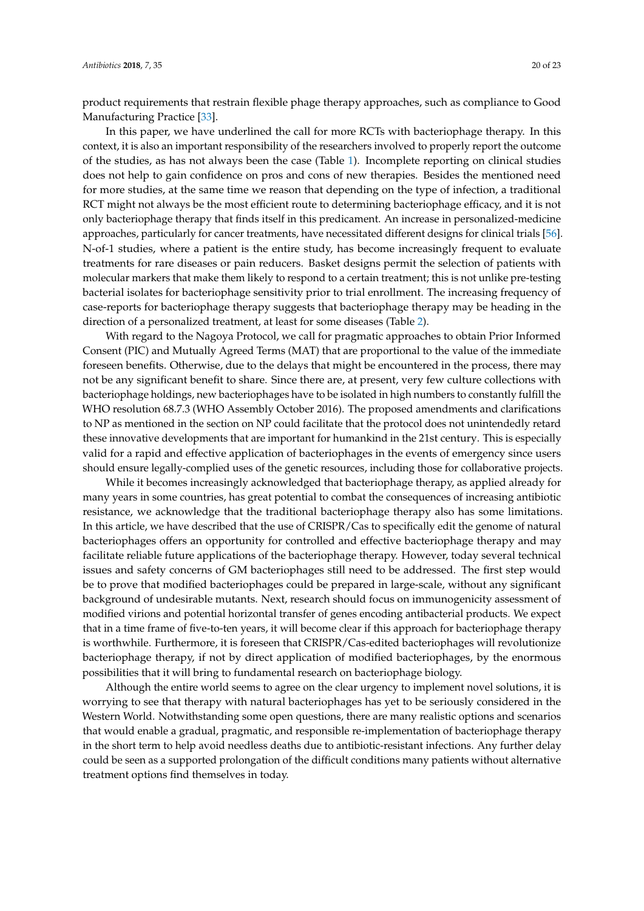product requirements that restrain flexible phage therapy approaches, such as compliance to Good Manufacturing Practice [\[33\]](#page-21-15).

In this paper, we have underlined the call for more RCTs with bacteriophage therapy. In this context, it is also an important responsibility of the researchers involved to properly report the outcome of the studies, as has not always been the case (Table [1\)](#page-8-0). Incomplete reporting on clinical studies does not help to gain confidence on pros and cons of new therapies. Besides the mentioned need for more studies, at the same time we reason that depending on the type of infection, a traditional RCT might not always be the most efficient route to determining bacteriophage efficacy, and it is not only bacteriophage therapy that finds itself in this predicament. An increase in personalized-medicine approaches, particularly for cancer treatments, have necessitated different designs for clinical trials [\[56\]](#page-22-21). N-of-1 studies, where a patient is the entire study, has become increasingly frequent to evaluate treatments for rare diseases or pain reducers. Basket designs permit the selection of patients with molecular markers that make them likely to respond to a certain treatment; this is not unlike pre-testing bacterial isolates for bacteriophage sensitivity prior to trial enrollment. The increasing frequency of case-reports for bacteriophage therapy suggests that bacteriophage therapy may be heading in the direction of a personalized treatment, at least for some diseases (Table [2\)](#page-11-0).

With regard to the Nagoya Protocol, we call for pragmatic approaches to obtain Prior Informed Consent (PIC) and Mutually Agreed Terms (MAT) that are proportional to the value of the immediate foreseen benefits. Otherwise, due to the delays that might be encountered in the process, there may not be any significant benefit to share. Since there are, at present, very few culture collections with bacteriophage holdings, new bacteriophages have to be isolated in high numbers to constantly fulfill the WHO resolution 68.7.3 (WHO Assembly October 2016). The proposed amendments and clarifications to NP as mentioned in the section on NP could facilitate that the protocol does not unintendedly retard these innovative developments that are important for humankind in the 21st century. This is especially valid for a rapid and effective application of bacteriophages in the events of emergency since users should ensure legally-complied uses of the genetic resources, including those for collaborative projects.

While it becomes increasingly acknowledged that bacteriophage therapy, as applied already for many years in some countries, has great potential to combat the consequences of increasing antibiotic resistance, we acknowledge that the traditional bacteriophage therapy also has some limitations. In this article, we have described that the use of CRISPR/Cas to specifically edit the genome of natural bacteriophages offers an opportunity for controlled and effective bacteriophage therapy and may facilitate reliable future applications of the bacteriophage therapy. However, today several technical issues and safety concerns of GM bacteriophages still need to be addressed. The first step would be to prove that modified bacteriophages could be prepared in large-scale, without any significant background of undesirable mutants. Next, research should focus on immunogenicity assessment of modified virions and potential horizontal transfer of genes encoding antibacterial products. We expect that in a time frame of five-to-ten years, it will become clear if this approach for bacteriophage therapy is worthwhile. Furthermore, it is foreseen that CRISPR/Cas-edited bacteriophages will revolutionize bacteriophage therapy, if not by direct application of modified bacteriophages, by the enormous possibilities that it will bring to fundamental research on bacteriophage biology.

Although the entire world seems to agree on the clear urgency to implement novel solutions, it is worrying to see that therapy with natural bacteriophages has yet to be seriously considered in the Western World. Notwithstanding some open questions, there are many realistic options and scenarios that would enable a gradual, pragmatic, and responsible re-implementation of bacteriophage therapy in the short term to help avoid needless deaths due to antibiotic-resistant infections. Any further delay could be seen as a supported prolongation of the difficult conditions many patients without alternative treatment options find themselves in today.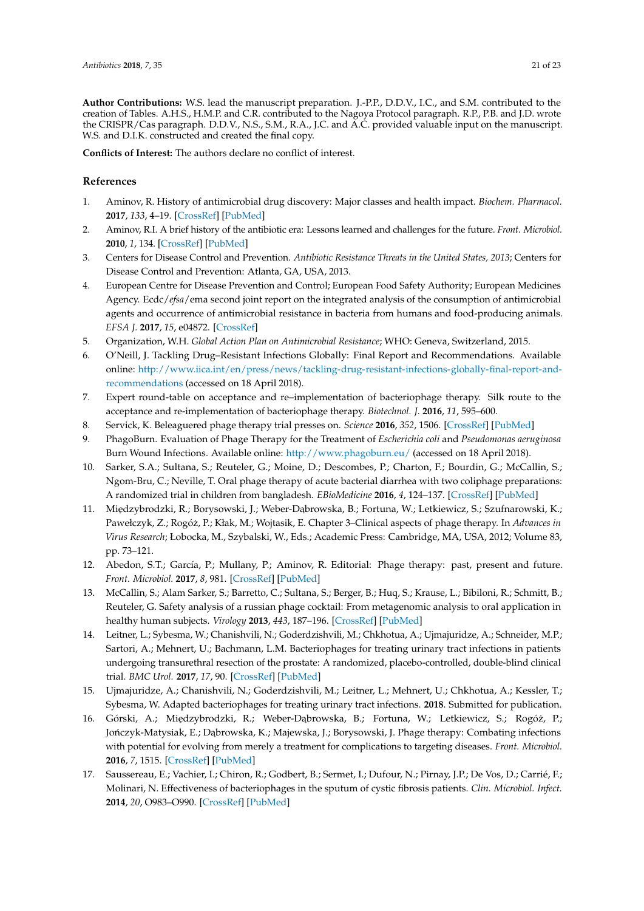<span id="page-20-22"></span>**Author Contributions:** W.S. lead the manuscript preparation. J.-P.P., D.D.V., I.C., and S.M. contributed to the creation of Tables. A.H.S., H.M.P. and C.R. contributed to the Nagoya Protocol paragraph. R.P., P.B. and J.D. wrote the CRISPR/Cas paragraph. D.D.V., N.S., S.M., R.A., J.C. and A.C. provided valuable input on the manuscript. W.S. and D.I.K. constructed and created the final copy.

<span id="page-20-19"></span><span id="page-20-18"></span>**Conflicts of Interest:** The authors declare no conflict of interest.

## **References**

- <span id="page-20-20"></span><span id="page-20-0"></span>1. Aminov, R. History of antimicrobial drug discovery: Major classes and health impact. *Biochem. Pharmacol.* **2017**, *133*, 4–19. [\[CrossRef\]](http://dx.doi.org/10.1016/j.bcp.2016.10.001) [\[PubMed\]](http://www.ncbi.nlm.nih.gov/pubmed/27720719)
- <span id="page-20-17"></span><span id="page-20-1"></span>2. Aminov, R.I. A brief history of the antibiotic era: Lessons learned and challenges for the future. *Front. Microbiol.* **2010**, *1*, 134. [\[CrossRef\]](http://dx.doi.org/10.3389/fmicb.2010.00134) [\[PubMed\]](http://www.ncbi.nlm.nih.gov/pubmed/21687759)
- <span id="page-20-2"></span>3. Centers for Disease Control and Prevention. *Antibiotic Resistance Threats in the United States, 2013*; Centers for Disease Control and Prevention: Atlanta, GA, USA, 2013.
- <span id="page-20-21"></span>4. European Centre for Disease Prevention and Control; European Food Safety Authority; European Medicines Agency. Ecdc/*efsa*/ema second joint report on the integrated analysis of the consumption of antimicrobial agents and occurrence of antimicrobial resistance in bacteria from humans and food-producing animals. *EFSA J.* **2017**, *15*, e04872. [\[CrossRef\]](http://dx.doi.org/10.2903/j.efsa.2017.4872)
- <span id="page-20-3"></span>5. Organization, W.H. *Global Action Plan on Antimicrobial Resistance*; WHO: Geneva, Switzerland, 2015.
- <span id="page-20-15"></span><span id="page-20-4"></span>6. O'Neill, J. Tackling Drug–Resistant Infections Globally: Final Report and Recommendations. Available online: [http://www.iica.int/en/press/news/tackling-drug-resistant-infections-globally-final-report-and](http://www.iica.int/en/press/news/tackling-drug-resistant-infections-globally-final-report-and-recommendations)[recommendations](http://www.iica.int/en/press/news/tackling-drug-resistant-infections-globally-final-report-and-recommendations) (accessed on 18 April 2018).
- <span id="page-20-5"></span>7. Expert round-table on acceptance and re–implementation of bacteriophage therapy. Silk route to the acceptance and re-implementation of bacteriophage therapy. *Biotechnol. J.* **2016**, *11*, 595–600.
- <span id="page-20-6"></span>8. Servick, K. Beleaguered phage therapy trial presses on. *Science* **2016**, *352*, 1506. [\[CrossRef\]](http://dx.doi.org/10.1126/science.352.6293.1506) [\[PubMed\]](http://www.ncbi.nlm.nih.gov/pubmed/27339963)
- <span id="page-20-7"></span>9. PhagoBurn. Evaluation of Phage Therapy for the Treatment of *Escherichia coli* and *Pseudomonas aeruginosa* Burn Wound Infections. Available online: <http://www.phagoburn.eu/> (accessed on 18 April 2018).
- <span id="page-20-8"></span>10. Sarker, S.A.; Sultana, S.; Reuteler, G.; Moine, D.; Descombes, P.; Charton, F.; Bourdin, G.; McCallin, S.; Ngom-Bru, C.; Neville, T. Oral phage therapy of acute bacterial diarrhea with two coliphage preparations: A randomized trial in children from bangladesh. *EBioMedicine* **2016**, *4*, 124–137. [\[CrossRef\]](http://dx.doi.org/10.1016/j.ebiom.2015.12.023) [\[PubMed\]](http://www.ncbi.nlm.nih.gov/pubmed/26981577)
- <span id="page-20-16"></span><span id="page-20-9"></span>11. Międzybrodzki, R.; Borysowski, J.; Weber-Dąbrowska, B.; Fortuna, W.; Letkiewicz, S.; Szufnarowski, K.; Pawełczyk, Z.; Rogóż, P.; Kłak, M.; Wojtasik, E. Chapter 3–Clinical aspects of phage therapy. In *Advances in Virus Research*; Łobocka, M., Szybalski, W., Eds.; Academic Press: Cambridge, MA, USA, 2012; Volume 83, pp. 73–121.
- <span id="page-20-14"></span>12. Abedon, S.T.; García, P.; Mullany, P.; Aminov, R. Editorial: Phage therapy: past, present and future. *Front. Microbiol.* **2017**, *8*, 981. [\[CrossRef\]](http://dx.doi.org/10.3389/fmicb.2017.00981) [\[PubMed\]](http://www.ncbi.nlm.nih.gov/pubmed/28663740)
- <span id="page-20-10"></span>13. McCallin, S.; Alam Sarker, S.; Barretto, C.; Sultana, S.; Berger, B.; Huq, S.; Krause, L.; Bibiloni, R.; Schmitt, B.; Reuteler, G. Safety analysis of a russian phage cocktail: From metagenomic analysis to oral application in healthy human subjects. *Virology* **2013**, *443*, 187–196. [\[CrossRef\]](http://dx.doi.org/10.1016/j.virol.2013.05.022) [\[PubMed\]](http://www.ncbi.nlm.nih.gov/pubmed/23755967)
- <span id="page-20-11"></span>14. Leitner, L.; Sybesma, W.; Chanishvili, N.; Goderdzishvili, M.; Chkhotua, A.; Ujmajuridze, A.; Schneider, M.P.; Sartori, A.; Mehnert, U.; Bachmann, L.M. Bacteriophages for treating urinary tract infections in patients undergoing transurethral resection of the prostate: A randomized, placebo-controlled, double-blind clinical trial. *BMC Urol.* **2017**, *17*, 90. [\[CrossRef\]](http://dx.doi.org/10.1186/s12894-017-0283-6) [\[PubMed\]](http://www.ncbi.nlm.nih.gov/pubmed/28950849)
- <span id="page-20-12"></span>15. Ujmajuridze, A.; Chanishvili, N.; Goderdzishvili, M.; Leitner, L.; Mehnert, U.; Chkhotua, A.; Kessler, T.; Sybesma, W. Adapted bacteriophages for treating urinary tract infections. **2018**. Submitted for publication.
- <span id="page-20-13"></span>16. Górski, A.; Międzybrodzki, R.; Weber-Dąbrowska, B.; Fortuna, W.; Letkiewicz, S.; Rogóż, P.; Jończyk-Matysiak, E.; Dąbrowska, K.; Majewska, J.; Borysowski, J. Phage therapy: Combating infections with potential for evolving from merely a treatment for complications to targeting diseases. *Front. Microbiol.* **2016**, *7*, 1515. [\[CrossRef\]](http://dx.doi.org/10.3389/fmicb.2016.01515) [\[PubMed\]](http://www.ncbi.nlm.nih.gov/pubmed/27725811)
- 17. Saussereau, E.; Vachier, I.; Chiron, R.; Godbert, B.; Sermet, I.; Dufour, N.; Pirnay, J.P.; De Vos, D.; Carrié, F.; Molinari, N. Effectiveness of bacteriophages in the sputum of cystic fibrosis patients. *Clin. Microbiol. Infect.* **2014**, *20*, O983–O990. [\[CrossRef\]](http://dx.doi.org/10.1111/1469-0691.12712) [\[PubMed\]](http://www.ncbi.nlm.nih.gov/pubmed/24920209)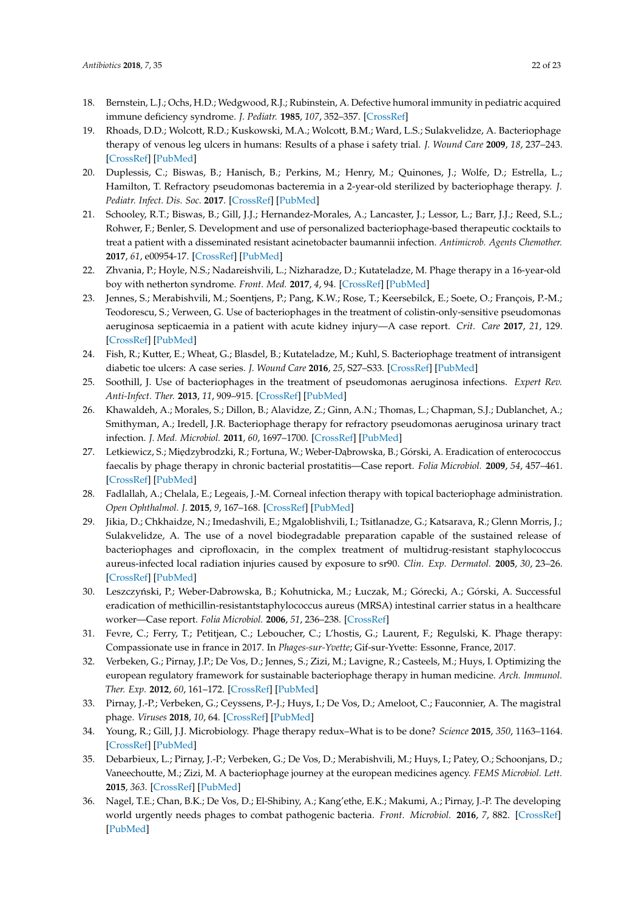- <span id="page-21-7"></span><span id="page-21-6"></span><span id="page-21-5"></span><span id="page-21-4"></span><span id="page-21-3"></span><span id="page-21-2"></span><span id="page-21-1"></span><span id="page-21-0"></span>18. Bernstein, L.J.; Ochs, H.D.; Wedgwood, R.J.; Rubinstein, A. Defective humoral immunity in pediatric acquired immune deficiency syndrome. *J. Pediatr.* **1985**, *107*, 352–357. [\[CrossRef\]](http://dx.doi.org/10.1016/S0022-3476(85)80505-9)
- <span id="page-21-8"></span>19. Rhoads, D.D.; Wolcott, R.D.; Kuskowski, M.A.; Wolcott, B.M.; Ward, L.S.; Sulakvelidze, A. Bacteriophage therapy of venous leg ulcers in humans: Results of a phase i safety trial. *J. Wound Care* **2009**, *18*, 237–243. [\[CrossRef\]](http://dx.doi.org/10.12968/jowc.2009.18.6.42801) [\[PubMed\]](http://www.ncbi.nlm.nih.gov/pubmed/19661847)
- <span id="page-21-9"></span>20. Duplessis, C.; Biswas, B.; Hanisch, B.; Perkins, M.; Henry, M.; Quinones, J.; Wolfe, D.; Estrella, L.; Hamilton, T. Refractory pseudomonas bacteremia in a 2-year-old sterilized by bacteriophage therapy. *J. Pediatr. Infect. Dis. Soc.* **2017**. [\[CrossRef\]](http://dx.doi.org/10.1093/jpids/pix056) [\[PubMed\]](http://www.ncbi.nlm.nih.gov/pubmed/28992111)
- <span id="page-21-10"></span>21. Schooley, R.T.; Biswas, B.; Gill, J.J.; Hernandez-Morales, A.; Lancaster, J.; Lessor, L.; Barr, J.J.; Reed, S.L.; Rohwer, F.; Benler, S. Development and use of personalized bacteriophage-based therapeutic cocktails to treat a patient with a disseminated resistant acinetobacter baumannii infection. *Antimicrob. Agents Chemother.* **2017**, *61*, e00954-17. [\[CrossRef\]](http://dx.doi.org/10.1128/AAC.00954-17) [\[PubMed\]](http://www.ncbi.nlm.nih.gov/pubmed/28807909)
- <span id="page-21-11"></span>22. Zhvania, P.; Hoyle, N.S.; Nadareishvili, L.; Nizharadze, D.; Kutateladze, M. Phage therapy in a 16-year-old boy with netherton syndrome. *Front. Med.* **2017**, *4*, 94. [\[CrossRef\]](http://dx.doi.org/10.3389/fmed.2017.00094) [\[PubMed\]](http://www.ncbi.nlm.nih.gov/pubmed/28717637)
- <span id="page-21-12"></span>23. Jennes, S.; Merabishvili, M.; Soentjens, P.; Pang, K.W.; Rose, T.; Keersebilck, E.; Soete, O.; François, P.-M.; Teodorescu, S.; Verween, G. Use of bacteriophages in the treatment of colistin-only-sensitive pseudomonas aeruginosa septicaemia in a patient with acute kidney injury—A case report. *Crit. Care* **2017**, *21*, 129. [\[CrossRef\]](http://dx.doi.org/10.1186/s13054-017-1709-y) [\[PubMed\]](http://www.ncbi.nlm.nih.gov/pubmed/28583189)
- <span id="page-21-13"></span>24. Fish, R.; Kutter, E.; Wheat, G.; Blasdel, B.; Kutateladze, M.; Kuhl, S. Bacteriophage treatment of intransigent diabetic toe ulcers: A case series. *J. Wound Care* **2016**, *25*, S27–S33. [\[CrossRef\]](http://dx.doi.org/10.12968/jowc.2016.25.Sup7.S27) [\[PubMed\]](http://www.ncbi.nlm.nih.gov/pubmed/27410468)
- 25. Soothill, J. Use of bacteriophages in the treatment of pseudomonas aeruginosa infections. *Expert Rev. Anti-Infect. Ther.* **2013**, *11*, 909–915. [\[CrossRef\]](http://dx.doi.org/10.1586/14787210.2013.826990) [\[PubMed\]](http://www.ncbi.nlm.nih.gov/pubmed/24053272)
- 26. Khawaldeh, A.; Morales, S.; Dillon, B.; Alavidze, Z.; Ginn, A.N.; Thomas, L.; Chapman, S.J.; Dublanchet, A.; Smithyman, A.; Iredell, J.R. Bacteriophage therapy for refractory pseudomonas aeruginosa urinary tract infection. *J. Med. Microbiol.* **2011**, *60*, 1697–1700. [\[CrossRef\]](http://dx.doi.org/10.1099/jmm.0.029744-0) [\[PubMed\]](http://www.ncbi.nlm.nih.gov/pubmed/21737541)
- 27. Letkiewicz, S.; Międzybrodzki, R.; Fortuna, W.; Weber-Dabrowska, B.; Górski, A. Eradication of enterococcus faecalis by phage therapy in chronic bacterial prostatitis—Case report. *Folia Microbiol.* **2009**, *54*, 457–461. [\[CrossRef\]](http://dx.doi.org/10.1007/s12223-009-0064-z) [\[PubMed\]](http://www.ncbi.nlm.nih.gov/pubmed/19937220)
- 28. Fadlallah, A.; Chelala, E.; Legeais, J.-M. Corneal infection therapy with topical bacteriophage administration. *Open Ophthalmol. J.* **2015**, *9*, 167–168. [\[CrossRef\]](http://dx.doi.org/10.2174/1874364101509010167) [\[PubMed\]](http://www.ncbi.nlm.nih.gov/pubmed/26862360)
- 29. Jikia, D.; Chkhaidze, N.; Imedashvili, E.; Mgaloblishvili, I.; Tsitlanadze, G.; Katsarava, R.; Glenn Morris, J.; Sulakvelidze, A. The use of a novel biodegradable preparation capable of the sustained release of bacteriophages and ciprofloxacin, in the complex treatment of multidrug-resistant staphylococcus aureus-infected local radiation injuries caused by exposure to sr90. *Clin. Exp. Dermatol.* **2005**, *30*, 23–26. [\[CrossRef\]](http://dx.doi.org/10.1111/j.1365-2230.2004.01600.x) [\[PubMed\]](http://www.ncbi.nlm.nih.gov/pubmed/15663496)
- 30. Leszczyński, P.; Weber-Dabrowska, B.; Kohutnicka, M.; Łuczak, M.; Górecki, A.; Górski, A. Successful eradication of methicillin-resistantstaphylococcus aureus (MRSA) intestinal carrier status in a healthcare worker—Case report. *Folia Microbiol.* **2006**, *51*, 236–238. [\[CrossRef\]](http://dx.doi.org/10.1007/BF02932128)
- 31. Fevre, C.; Ferry, T.; Petitjean, C.; Leboucher, C.; L'hostis, G.; Laurent, F.; Regulski, K. Phage therapy: Compassionate use in france in 2017. In *Phages-sur-Yvette*; Gif-sur-Yvette: Essonne, France, 2017.
- <span id="page-21-14"></span>32. Verbeken, G.; Pirnay, J.P.; De Vos, D.; Jennes, S.; Zizi, M.; Lavigne, R.; Casteels, M.; Huys, I. Optimizing the european regulatory framework for sustainable bacteriophage therapy in human medicine. *Arch. Immunol. Ther. Exp.* **2012**, *60*, 161–172. [\[CrossRef\]](http://dx.doi.org/10.1007/s00005-012-0175-0) [\[PubMed\]](http://www.ncbi.nlm.nih.gov/pubmed/22527355)
- <span id="page-21-15"></span>33. Pirnay, J.-P.; Verbeken, G.; Ceyssens, P.-J.; Huys, I.; De Vos, D.; Ameloot, C.; Fauconnier, A. The magistral phage. *Viruses* **2018**, *10*, 64. [\[CrossRef\]](http://dx.doi.org/10.3390/v10020064) [\[PubMed\]](http://www.ncbi.nlm.nih.gov/pubmed/29415431)
- <span id="page-21-16"></span>34. Young, R.; Gill, J.J. Microbiology. Phage therapy redux–What is to be done? *Science* **2015**, *350*, 1163–1164. [\[CrossRef\]](http://dx.doi.org/10.1126/science.aad6791) [\[PubMed\]](http://www.ncbi.nlm.nih.gov/pubmed/26785457)
- <span id="page-21-17"></span>35. Debarbieux, L.; Pirnay, J.-P.; Verbeken, G.; De Vos, D.; Merabishvili, M.; Huys, I.; Patey, O.; Schoonjans, D.; Vaneechoutte, M.; Zizi, M. A bacteriophage journey at the european medicines agency. *FEMS Microbiol. Lett.* **2015**, *363*. [\[CrossRef\]](http://dx.doi.org/10.1093/femsle/fnv225) [\[PubMed\]](http://www.ncbi.nlm.nih.gov/pubmed/26656541)
- <span id="page-21-18"></span>36. Nagel, T.E.; Chan, B.K.; De Vos, D.; El-Shibiny, A.; Kang'ethe, E.K.; Makumi, A.; Pirnay, J.-P. The developing world urgently needs phages to combat pathogenic bacteria. *Front. Microbiol.* **2016**, *7*, 882. [\[CrossRef\]](http://dx.doi.org/10.3389/fmicb.2016.00882) [\[PubMed\]](http://www.ncbi.nlm.nih.gov/pubmed/27375602)